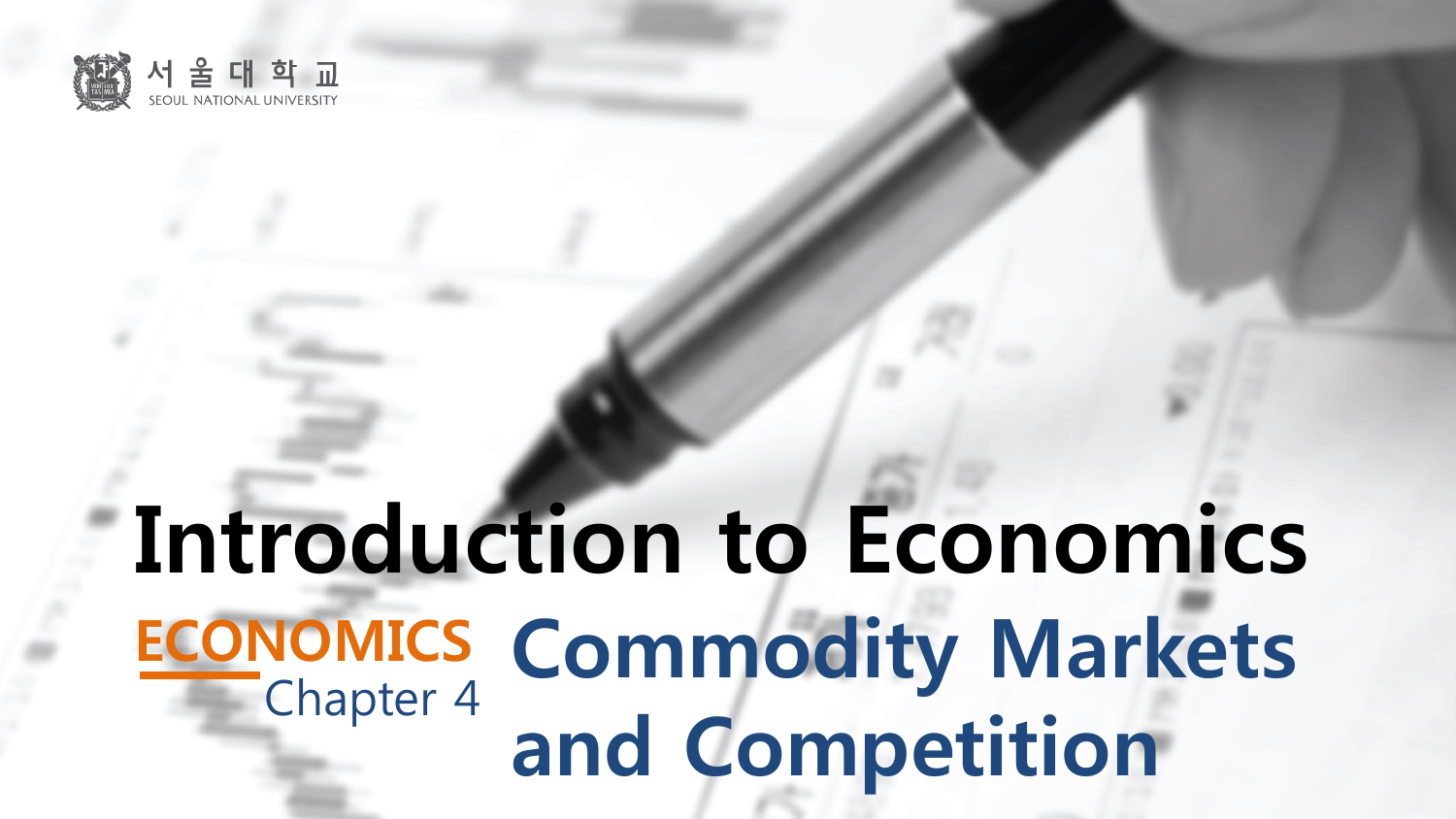

# **ECONOMICS Commodity Markets** and Competition Introduction to Economics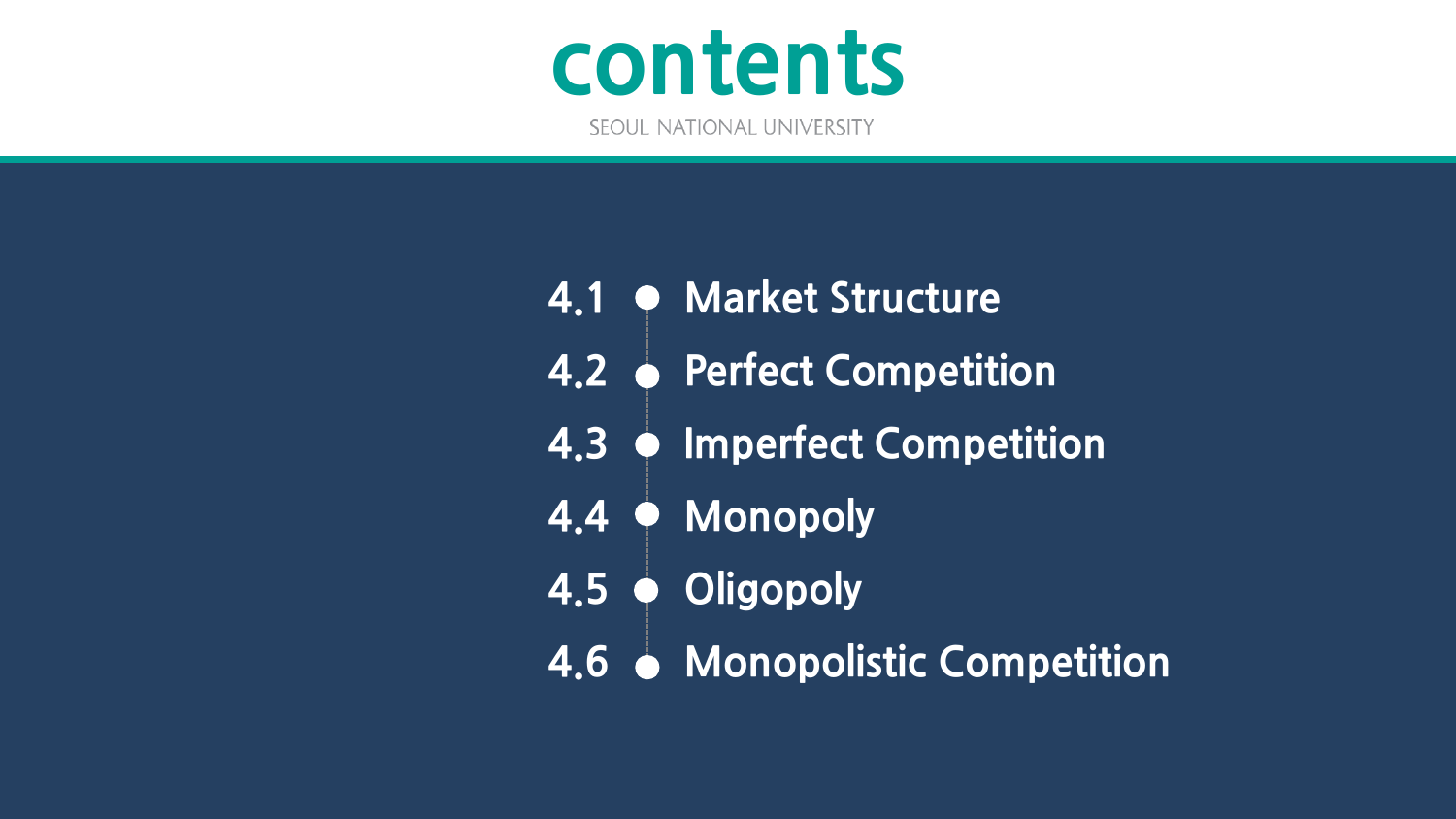

- **Market Structure 4.1**
- **Perfect Competition 4.2**
- **Imperfect Competition 4.3**
- **Monopoly 4.4**
- **Oligopoly 4.5**
- **Monopolistic Competition 4.6**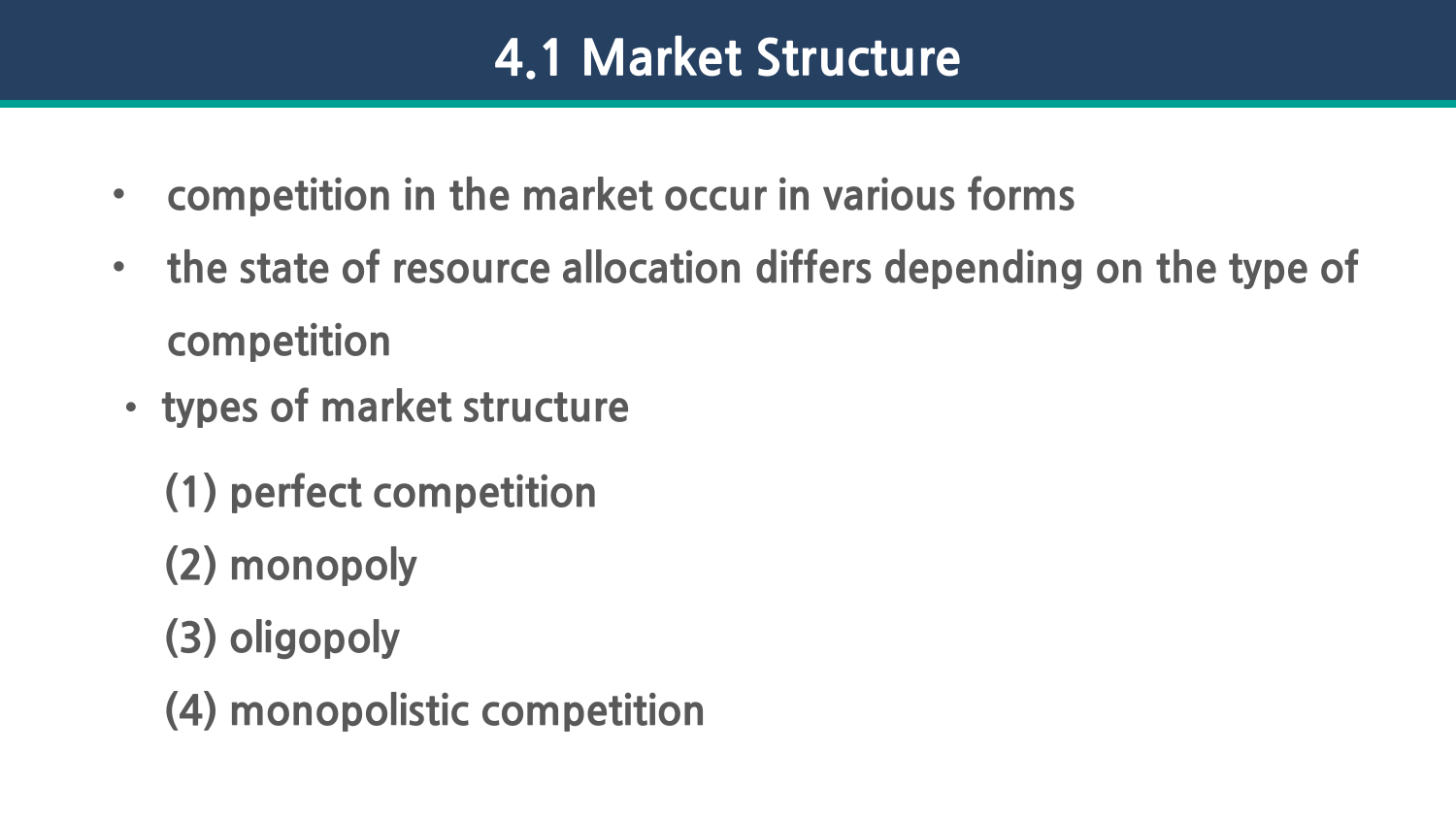- **competition in the market occur in various forms**
- **the state of resource allocation differs depending on the type of competition**
- **types of market structure** 
	- **(1) perfect competition**
	- **(2) monopoly**
	- **(3) oligopoly**
	- **(4) monopolistic competition**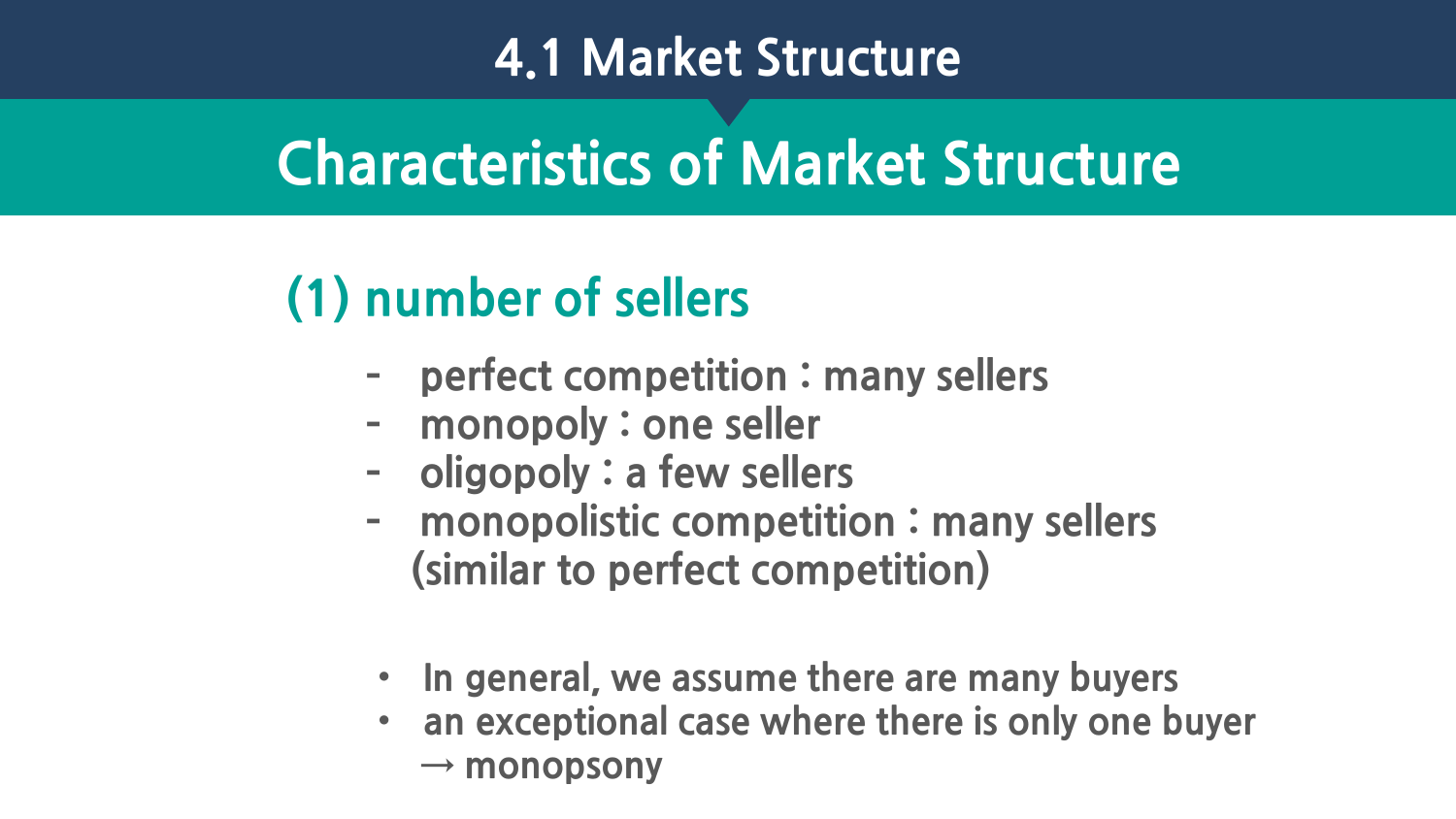## **Characteristics of Market Structure**

### **(1) number of sellers**

- **– perfect competition : many sellers**
- **– monopoly : one seller**
- **– oligopoly : a few sellers**
- **– monopolistic competition : many sellers (similar to perfect competition)**
- **In general, we assume there are many buyers**
- **an exceptional case where there is only one buyer → monopsony**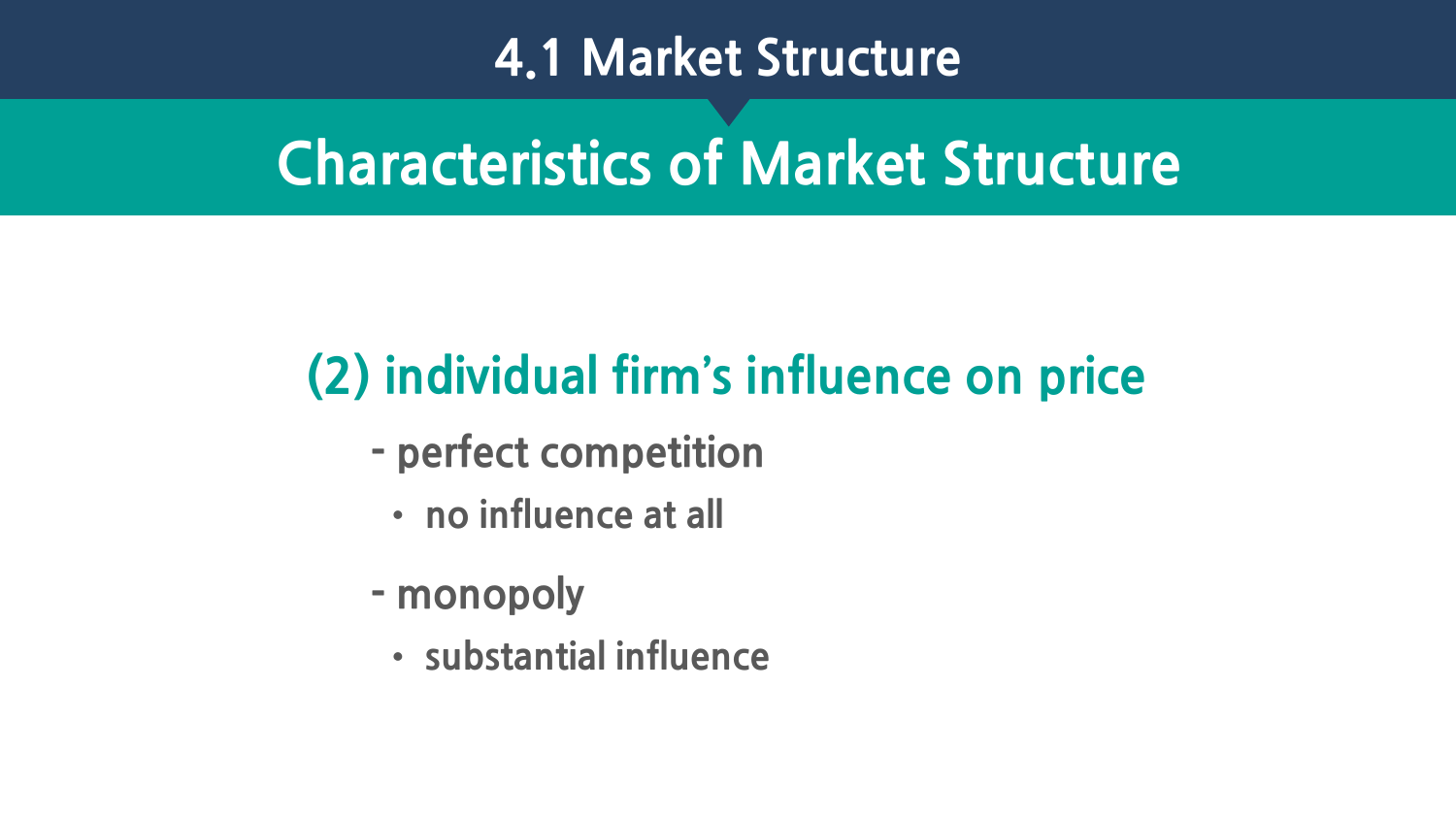### **Characteristics of Market Structure**

### **(2) individual firm's influence on price**

- **- perfect competition** 
	- **no influence at all**
- **- monopoly**
	- **substantial influence**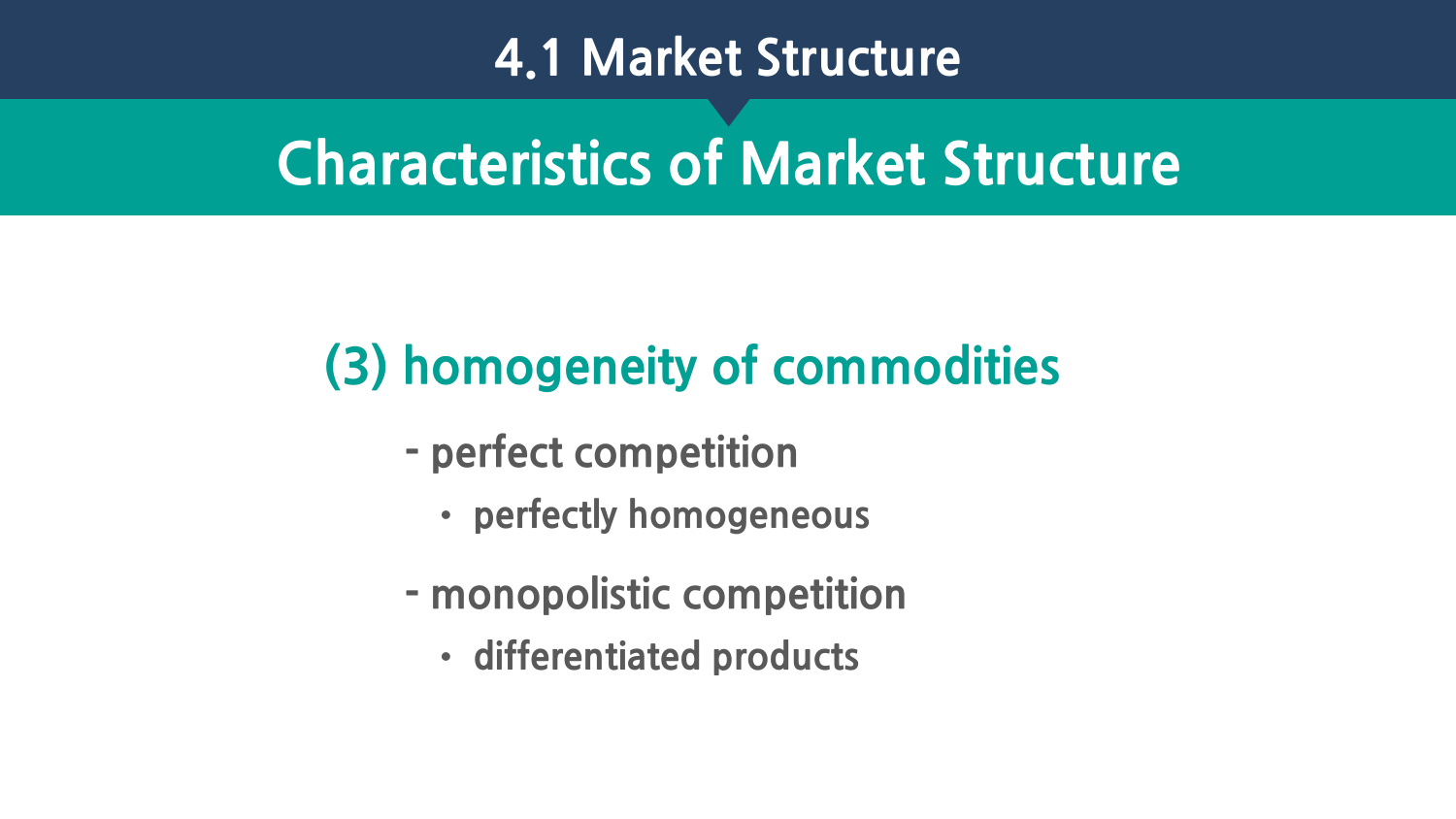### **Characteristics of Market Structure**

### **(3) homogeneity of commodities**

- **- perfect competition** 
	- **perfectly homogeneous**
- **- monopolistic competition**
	- **differentiated products**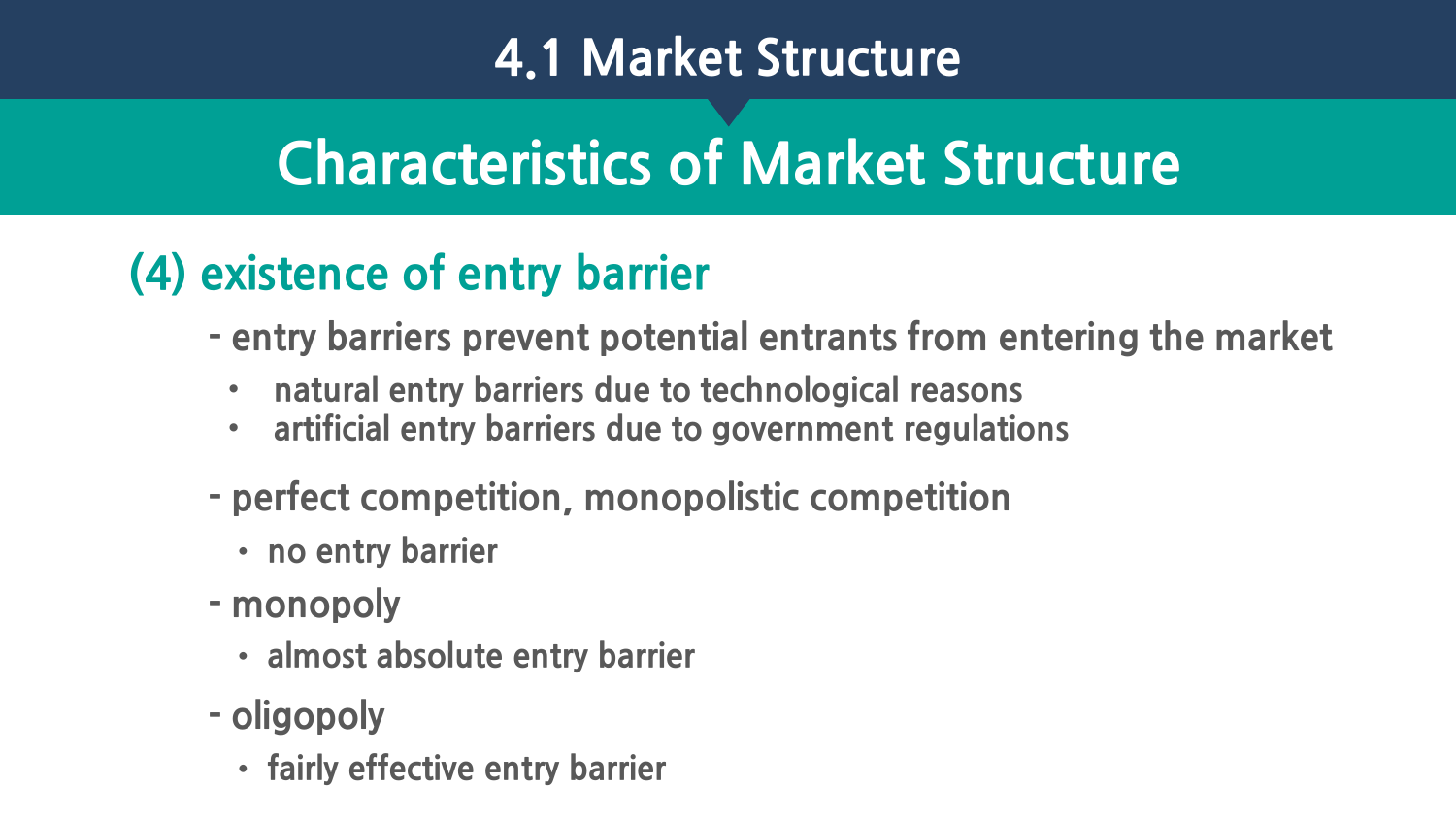# **Characteristics of Market Structure**

#### **(4) existence of entry barrier**

- **- entry barriers prevent potential entrants from entering the market**
	- **natural entry barriers due to technological reasons**
	- **artificial entry barriers due to government regulations**
- **- perfect competition, monopolistic competition**
	- **no entry barrier**
- **- monopoly** 
	- **almost absolute entry barrier**
- **- oligopoly** 
	- **fairly effective entry barrier**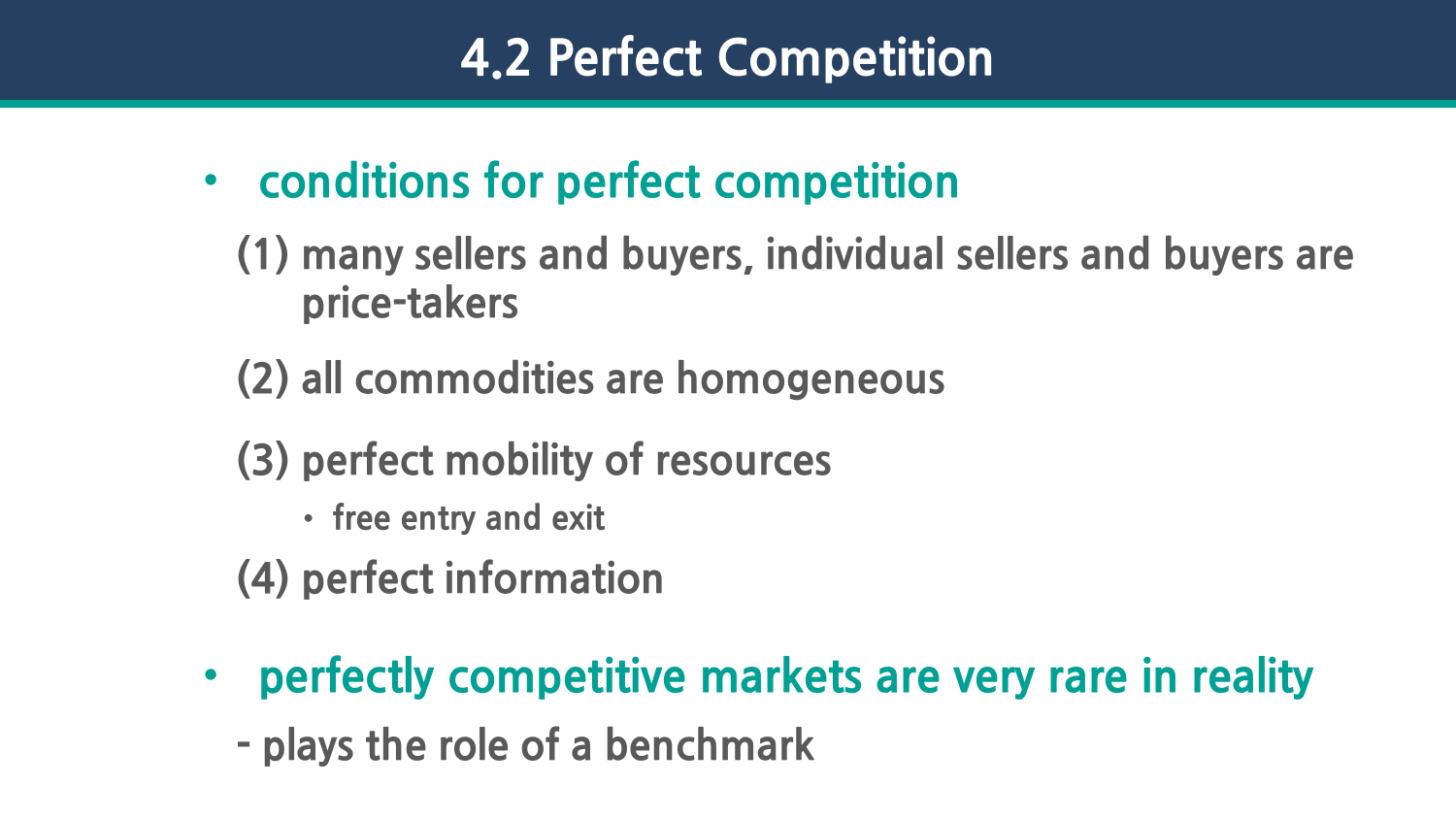- **conditions for perfect competition**
	- **(1) many sellers and buyers, individual sellers and buyers are price-takers**
	- **(2) all commodities are homogeneous**
	- **(3) perfect mobility of resources**
		- **free entry and exit**
	- **(4) perfect information**
- **perfectly competitive markets are very rare in reality**
	- **- plays the role of a benchmark**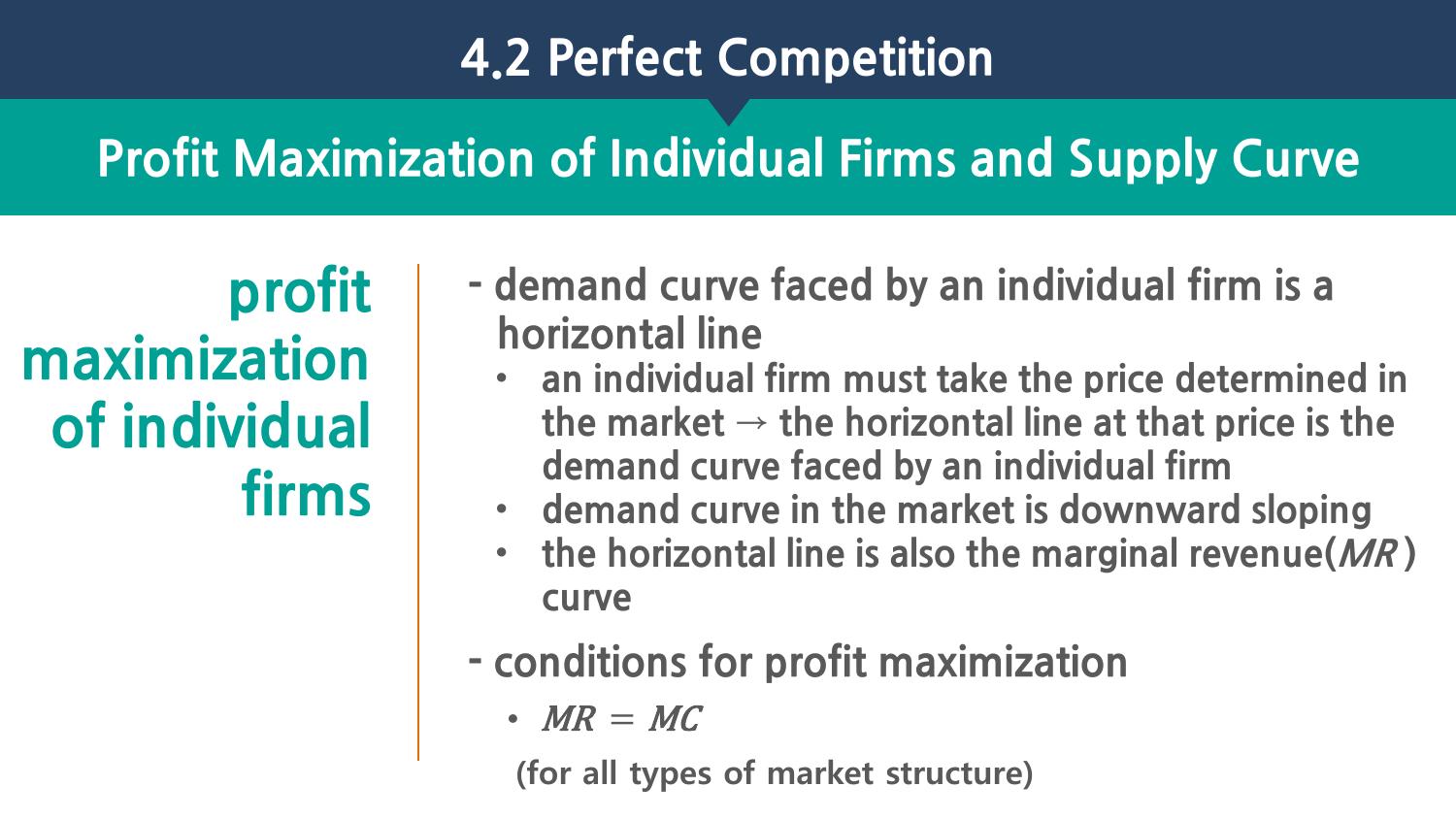### **Profit Maximization of Individual Firms and Supply Curve**

**profit maximization of individual firms**

- **- demand curve faced by an individual firm is a horizontal line**
	- **an individual firm must take the price determined in**  the market  $\rightarrow$  the horizontal line at that price is the **demand curve faced by an individual firm**
	- **demand curve in the market is downward sloping**
	- **the horizontal line is also the marginal revenue(MR ) curve**
- **- conditions for profit maximization**
	- $MR = MC$

(for all types of market structure)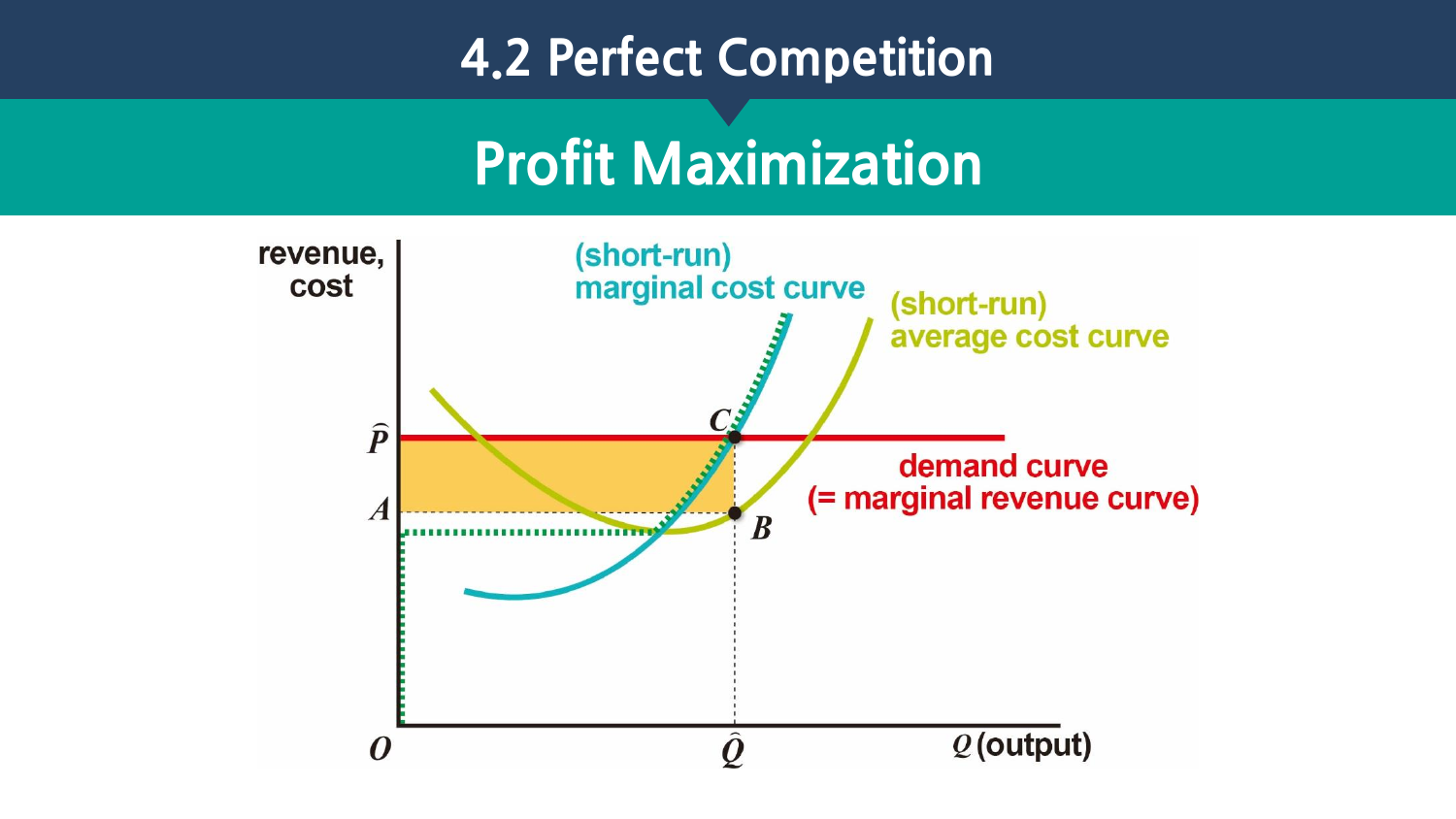### **Profit Maximization**

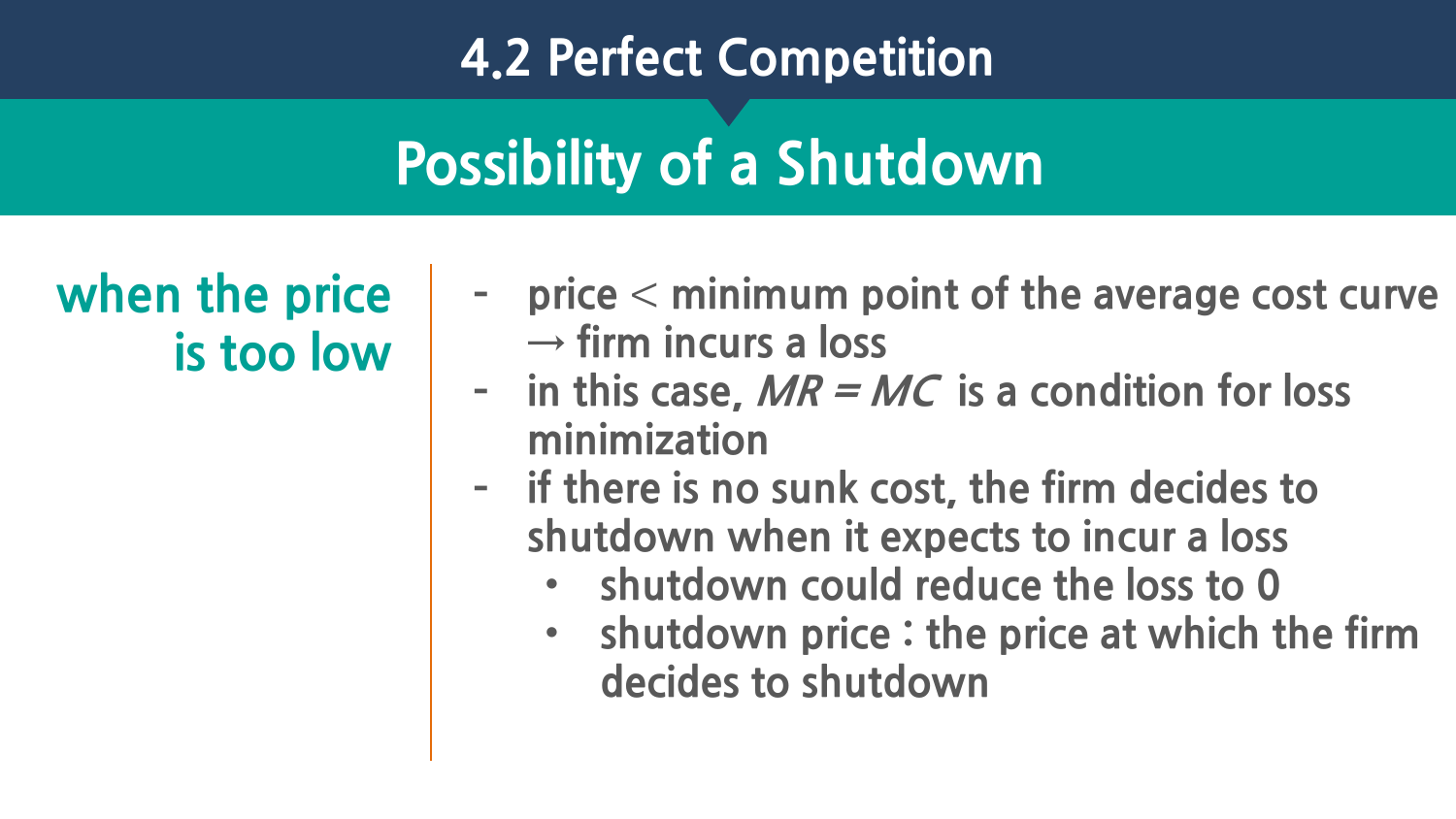# **Possibility of a Shutdown**

**when the price is too low**

- **– price** < **minimum point of the average cost curve → firm incurs a loss**
- **– in this case, MR = MC is a condition for loss minimization**
- **– if there is no sunk cost, the firm decides to shutdown when it expects to incur a loss**
	- **shutdown could reduce the loss to 0**
	- **shutdown price : the price at which the firm decides to shutdown**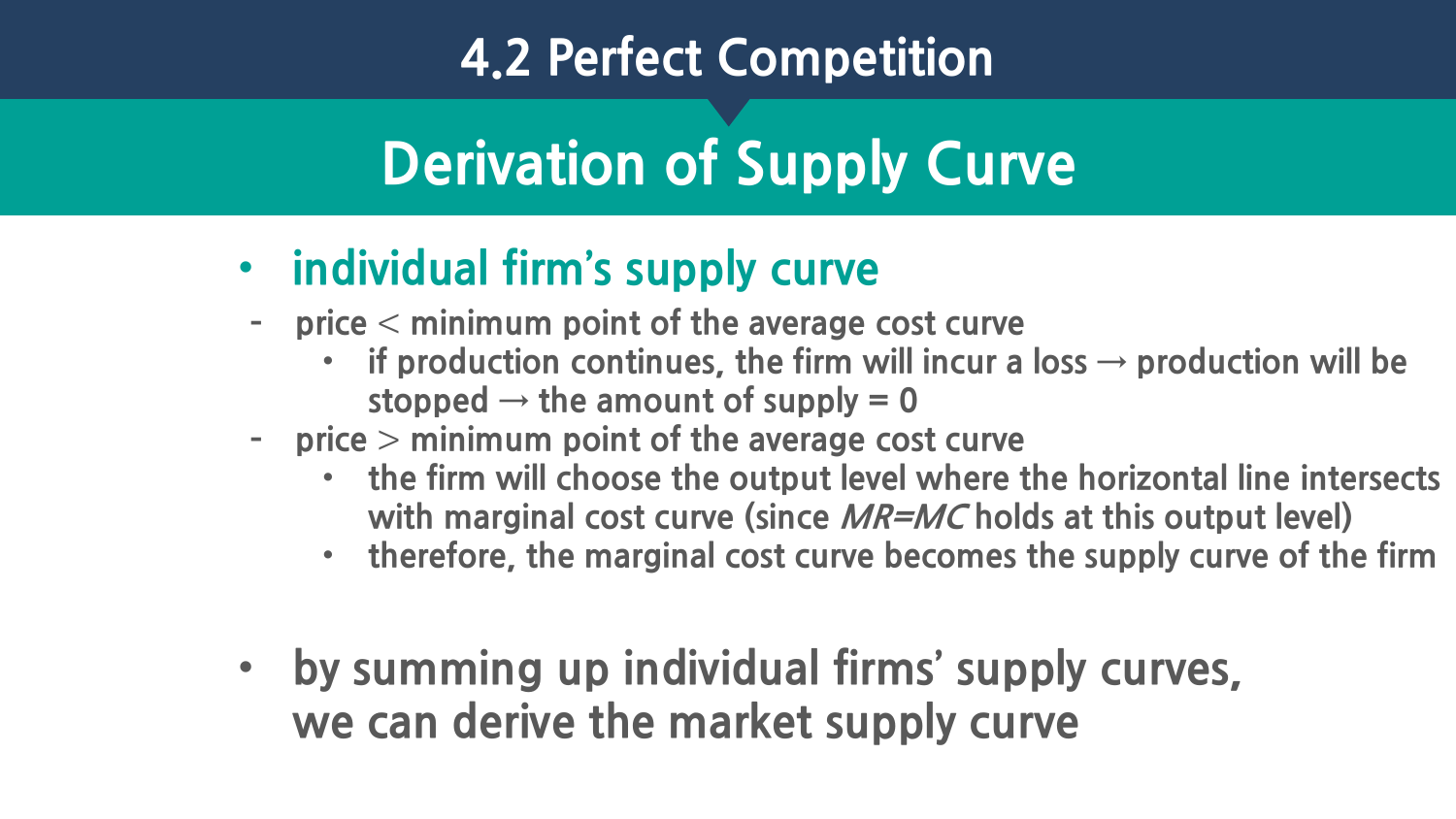# **Derivation of Supply Curve**

- **individual firm's supply curve**
- **– price** < **minimum point of the average cost curve**
	- **if production continues, the firm will incur a loss**  $\rightarrow$  **production will be** stopped  $\rightarrow$  the amount of supply  $= 0$
- **– price** > **minimum point of the average cost curve**
	- **the firm will choose the output level where the horizontal line intersects with marginal cost curve (since MR=MC holds at this output level)**
	- **therefore, the marginal cost curve becomes the supply curve of the firm**
- **by summing up individual firms' supply curves, we can derive the market supply curve**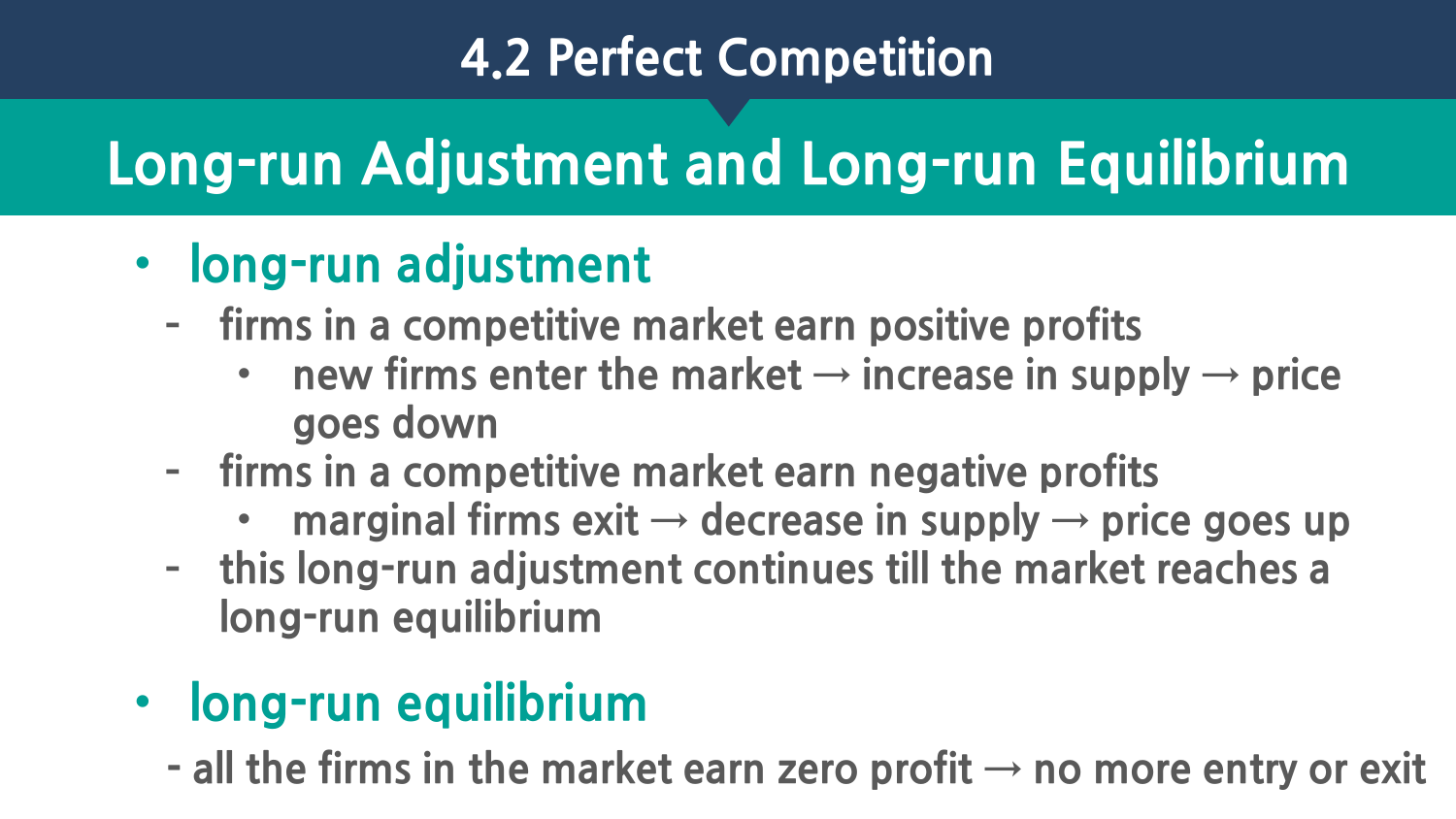# **Long-run Adjustment and Long-run Equilibrium**

### • **long-run adjustment**

- **– firms in a competitive market earn positive profits**
	- new firms enter the market  $\rightarrow$  increase in supply  $\rightarrow$  price **goes down**
- **– firms in a competitive market earn negative profits**
	- **marginal firms exit → decrease in supply → price goes up**
- **– this long-run adjustment continues till the market reaches a long-run equilibrium**
- **long-run equilibrium**
	- **- all the firms in the market earn zero profit → no more entry or exit**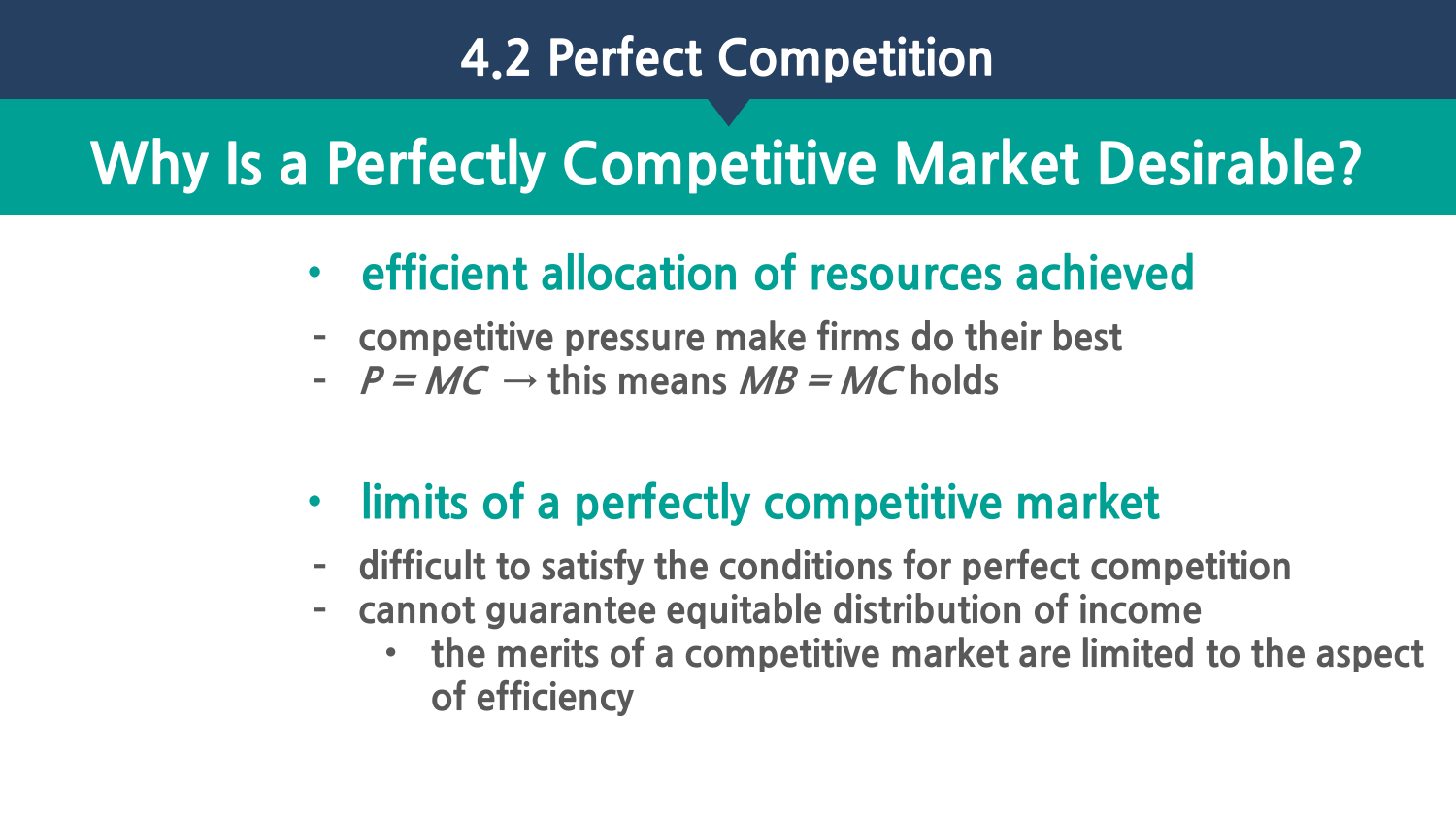### **Why Is a Perfectly Competitive Market Desirable?**

- **efficient allocation of resources achieved**
- **– competitive pressure make firms do their best**
- **– P = MC → this means MB = MC holds**
- **limits of a perfectly competitive market**
- **– difficult to satisfy the conditions for perfect competition**
- **– cannot guarantee equitable distribution of income**
	- **the merits of a competitive market are limited to the aspect of efficiency**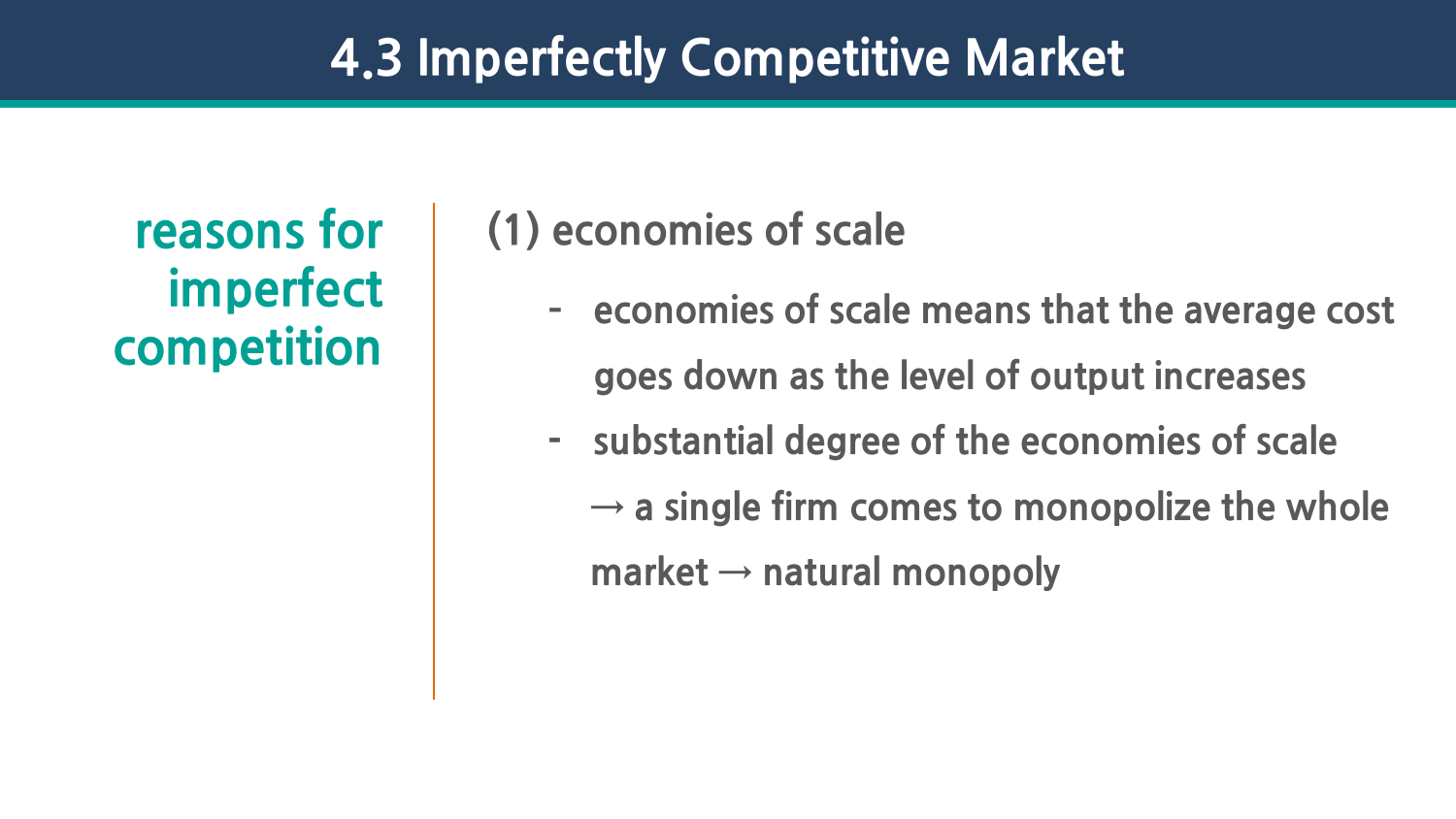#### **4.3 Imperfectly Competitive Market**

**imperfect competition**

#### **reasons for (1) economies of scale**

- **– economies of scale means that the average cost goes down as the level of output increases**
- **- substantial degree of the economies of scale**   $\rightarrow$  **a** single firm comes to monopolize the whole **market → natural monopoly**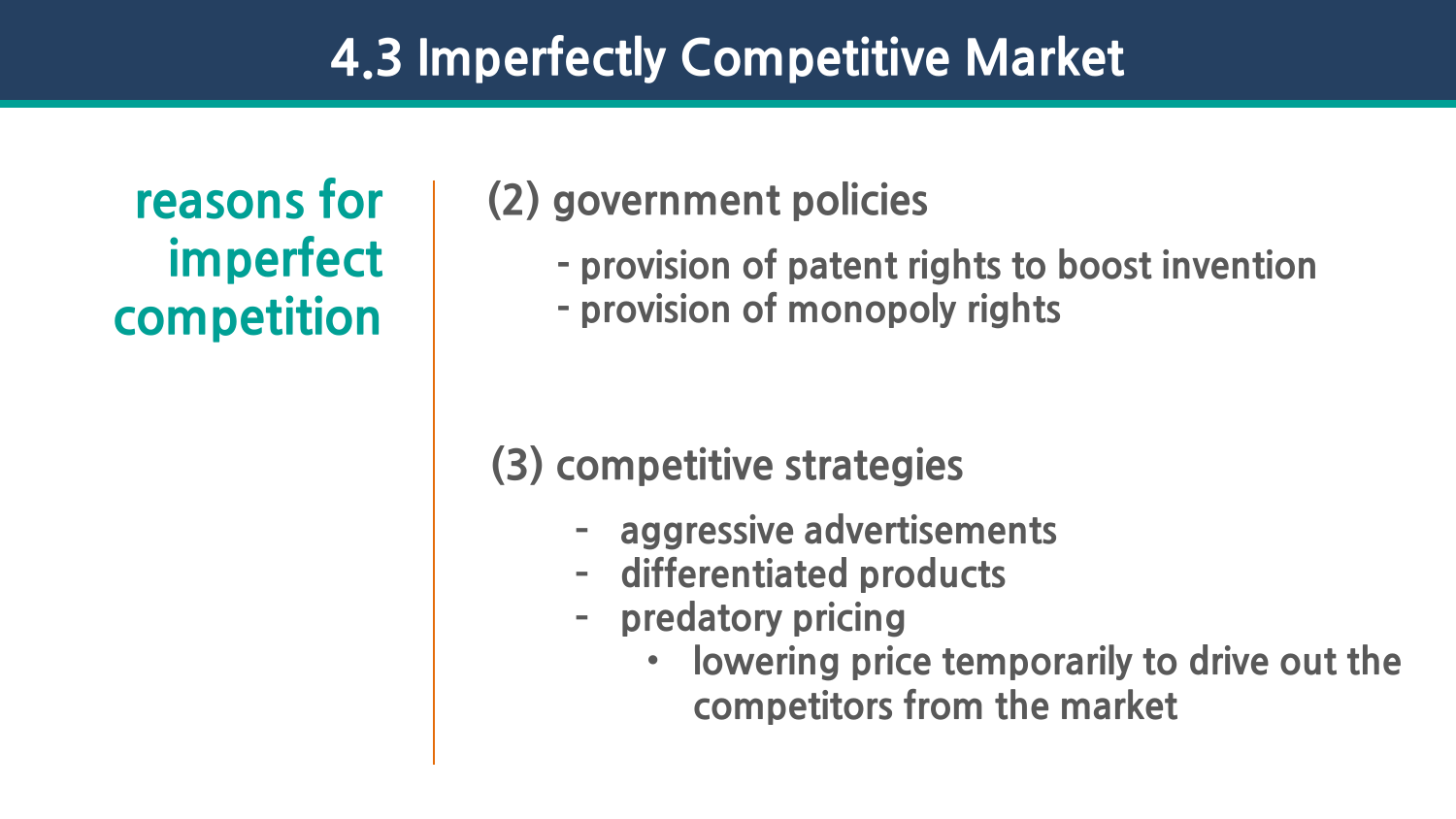#### **4.3 Imperfectly Competitive Market**

**imperfect competition**

#### **reasons for (2) government policies**

- **- provision of patent rights to boost invention**
- **- provision of monopoly rights**

#### **(3) competitive strategies**

- **– aggressive advertisements**
- **– differentiated products**
- **– predatory pricing**
	- **lowering price temporarily to drive out the competitors from the market**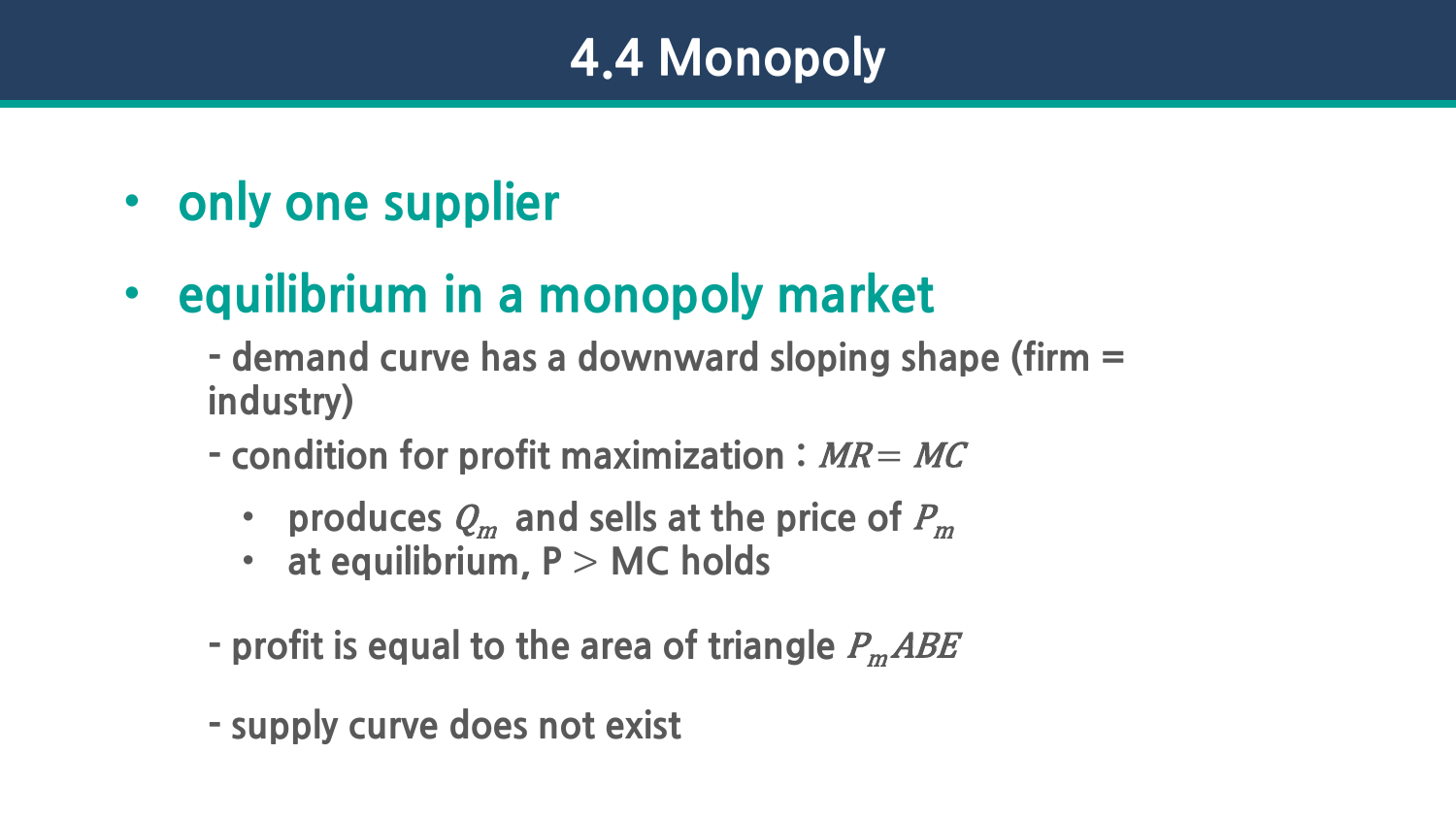- **only one supplier**
- **equilibrium in a monopoly market**
	- **- demand curve has a downward sloping shape (firm = industry)**
	- **- condition for profit maximization :** MR = MC
		- **produces**  $Q_m$  and sells at the price of  $P_m$
		- **at equilibrium, P** > **MC holds**
	- $\blacksquare$  **profit is equal to the area of triangle**  $P_m A B E$
	- **- supply curve does not exist**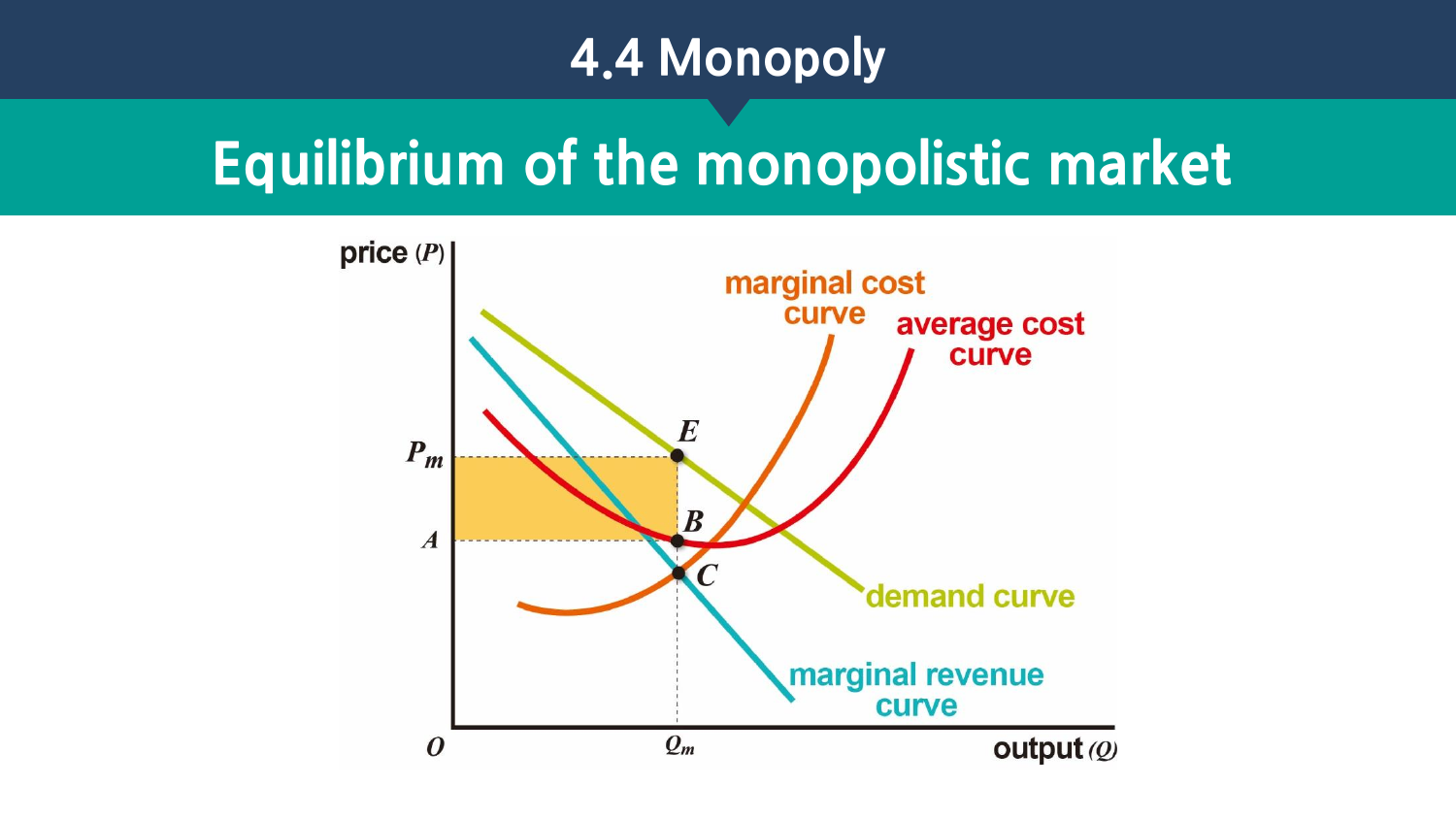### **Equilibrium of the monopolistic market**

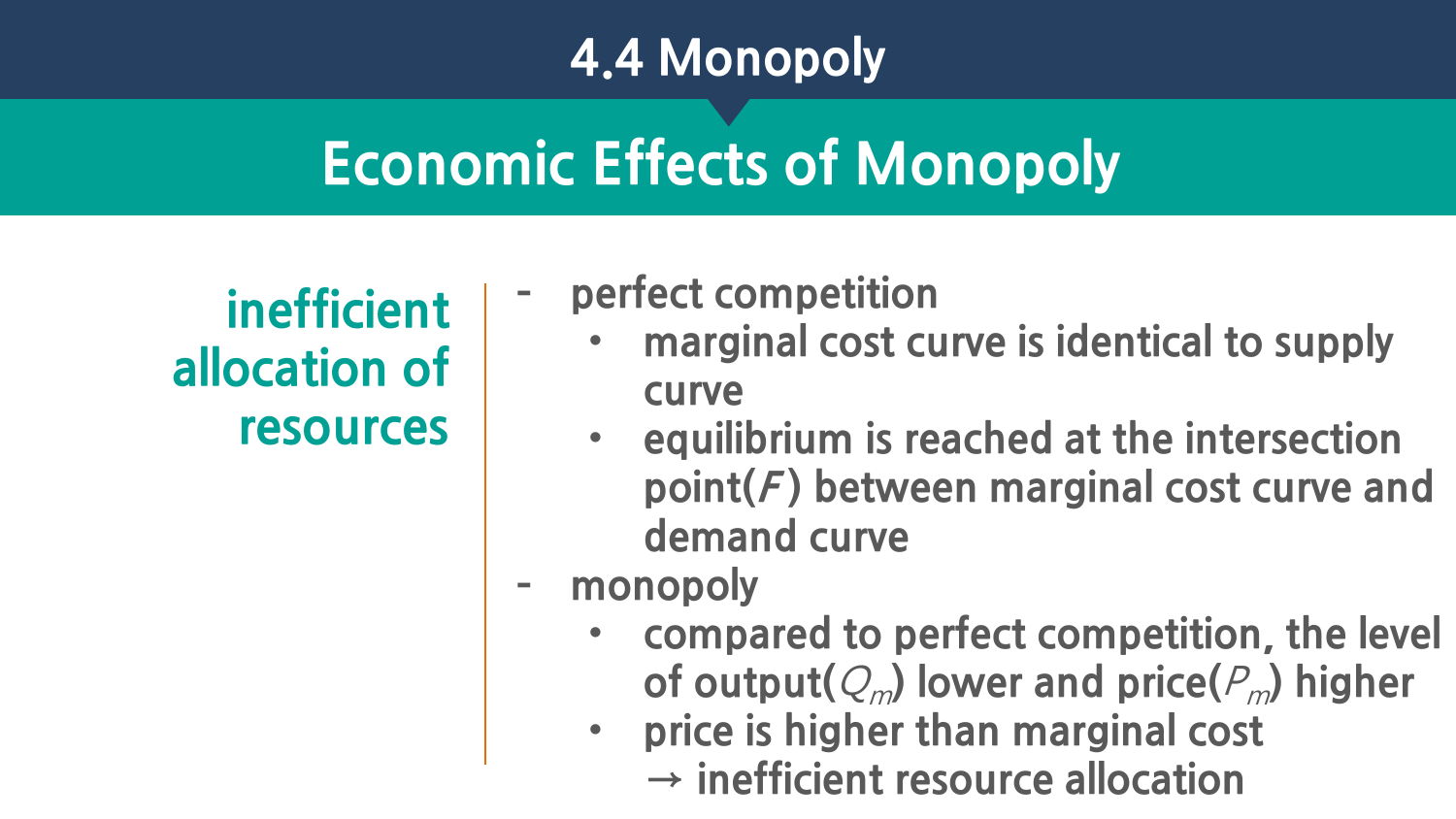# **Economic Effects of Monopoly**

**inefficient allocation of resources** 

#### **– perfect competition**

- **marginal cost curve is identical to supply curve**
- **equilibrium is reached at the intersection point(F ) between marginal cost curve and demand curve**
- **– monopoly**
	- **compared to perfect competition, the level**  of output( $Q_m$ ) lower and price( $P_m$ ) higher
	- **price is higher than marginal cost**  → **inefficient resource allocation**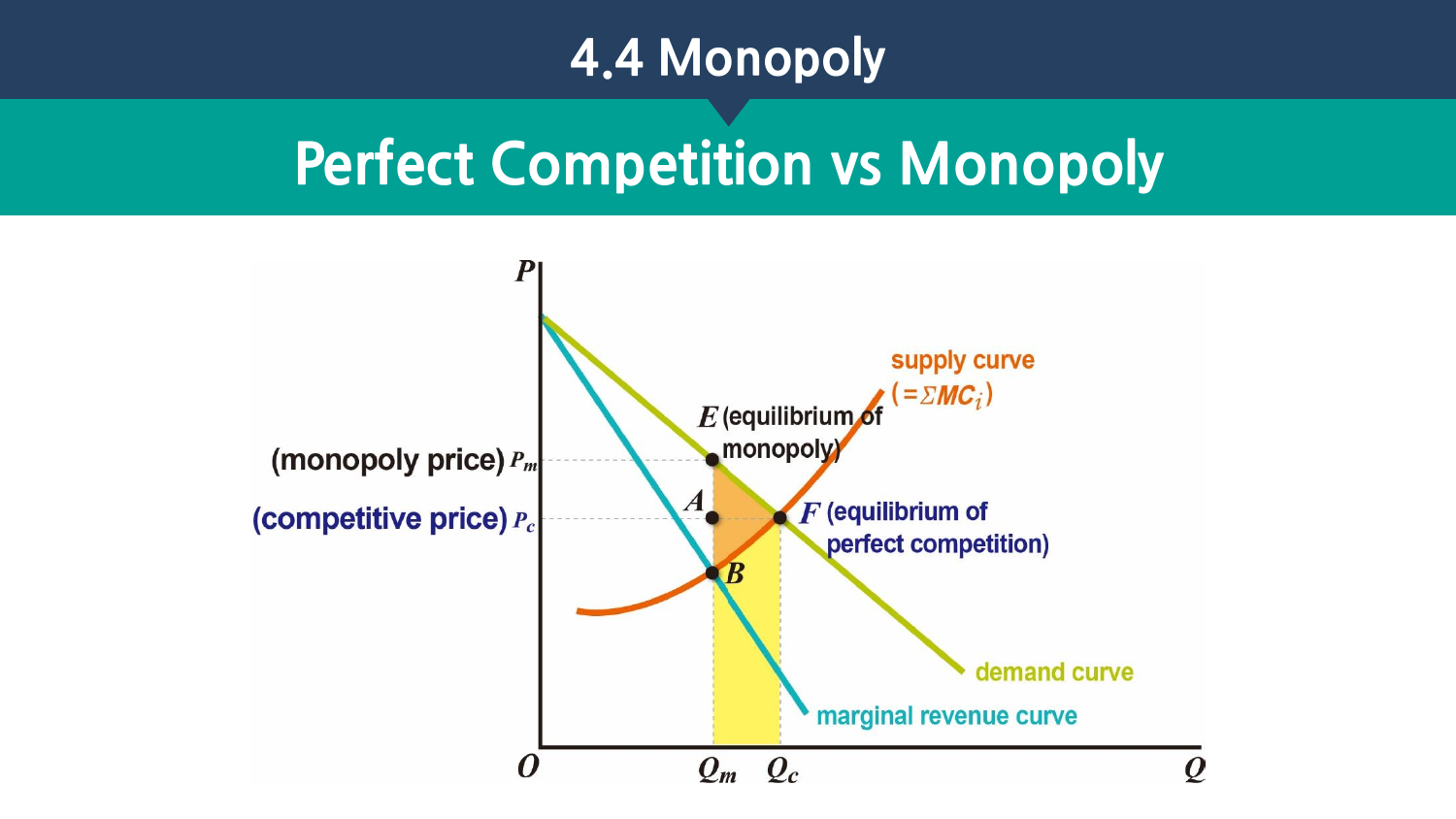### **Perfect Competition vs Monopoly**

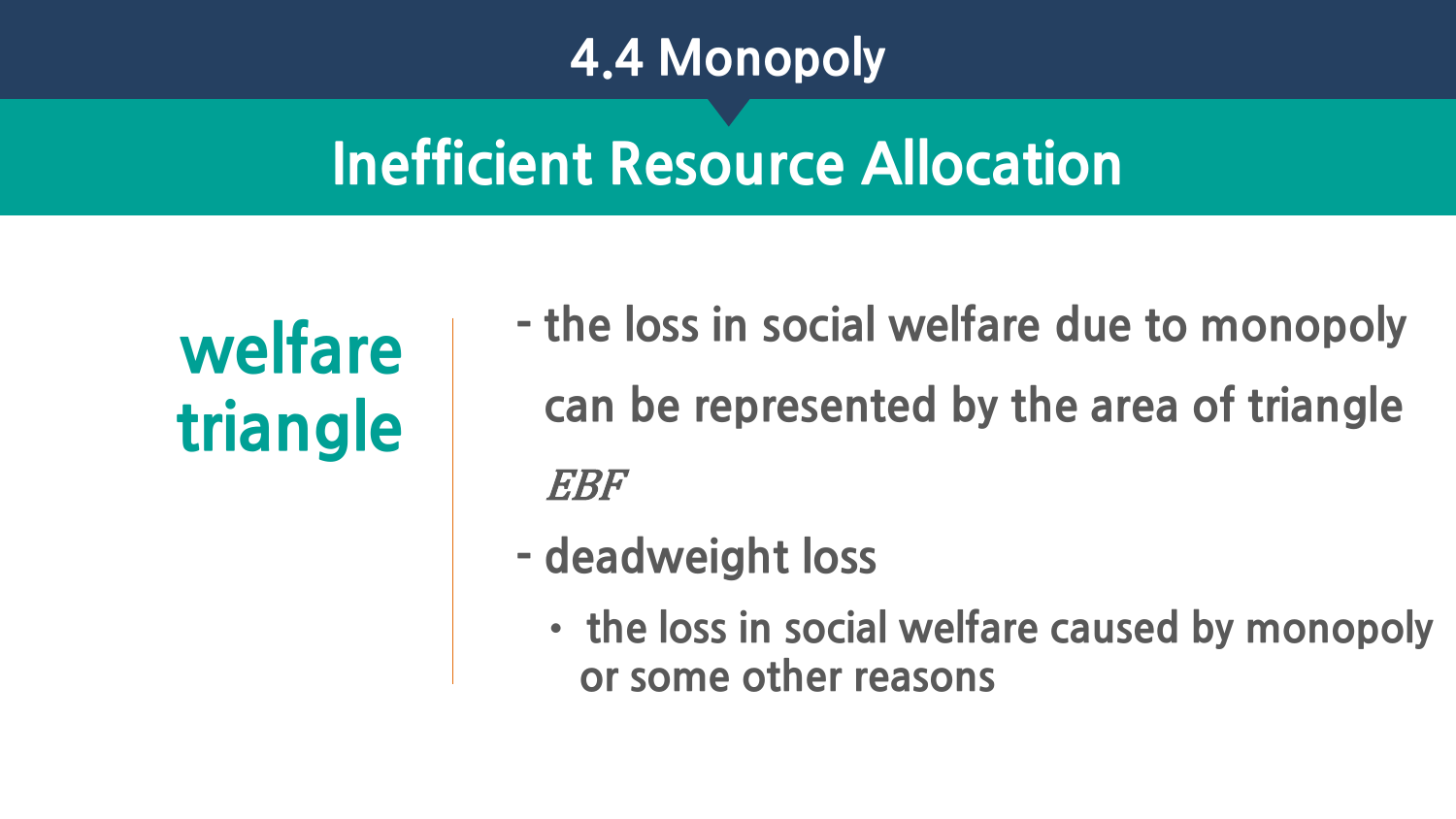# **Inefficient Resource Allocation**

# **welfare triangle**

- **- the loss in social welfare due to monopoly can be represented by the area of triangle**  EBF
- **- deadweight loss**
	- **the loss in social welfare caused by monopoly or some other reasons**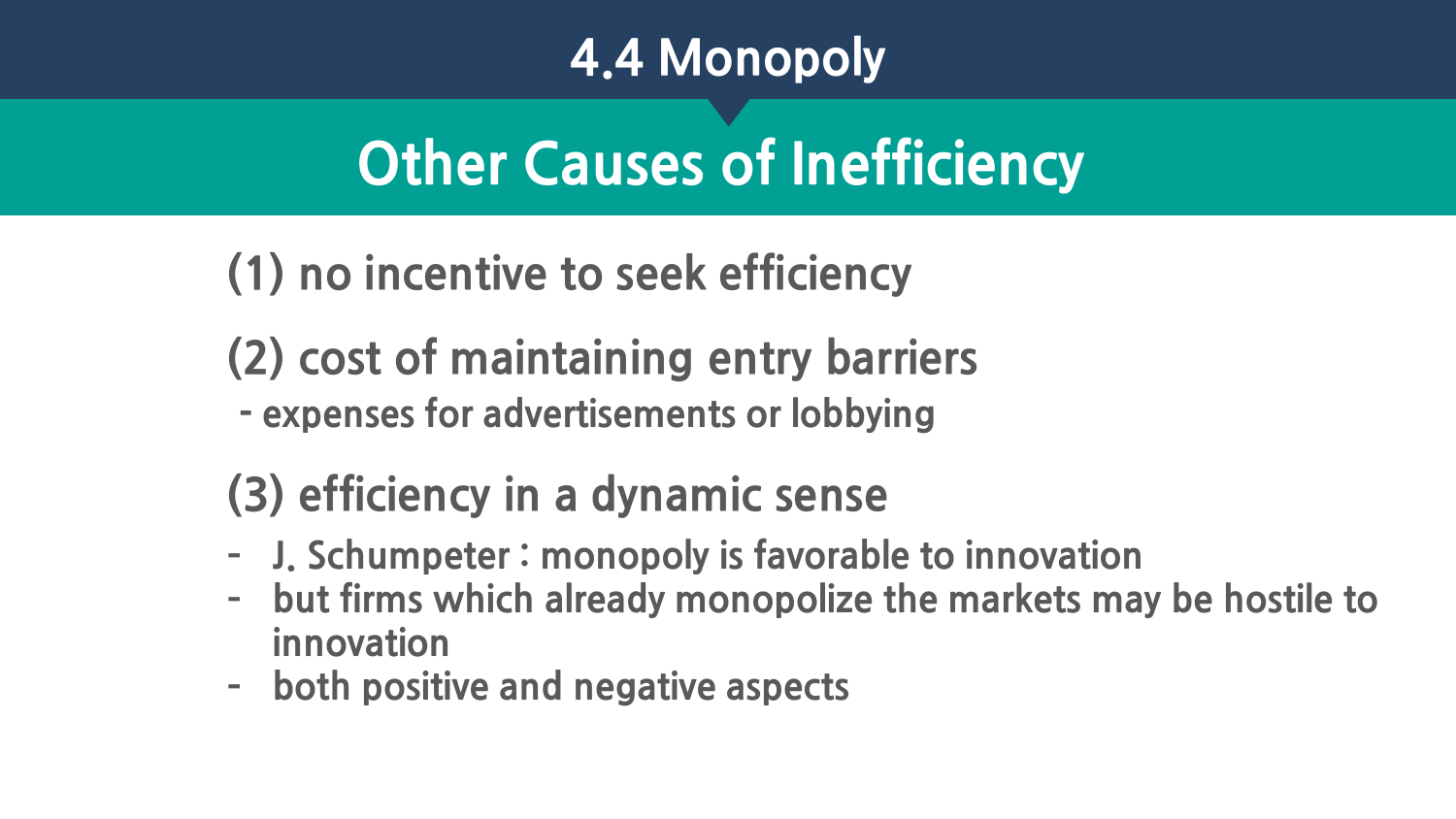# **Other Causes of Inefficiency**

- **(1) no incentive to seek efficiency**
- **(2) cost of maintaining entry barriers**
- **- expenses for advertisements or lobbying**

### **(3) efficiency in a dynamic sense**

- **– J. Schumpeter : monopoly is favorable to innovation**
- **– but firms which already monopolize the markets may be hostile to innovation**
- **– both positive and negative aspects**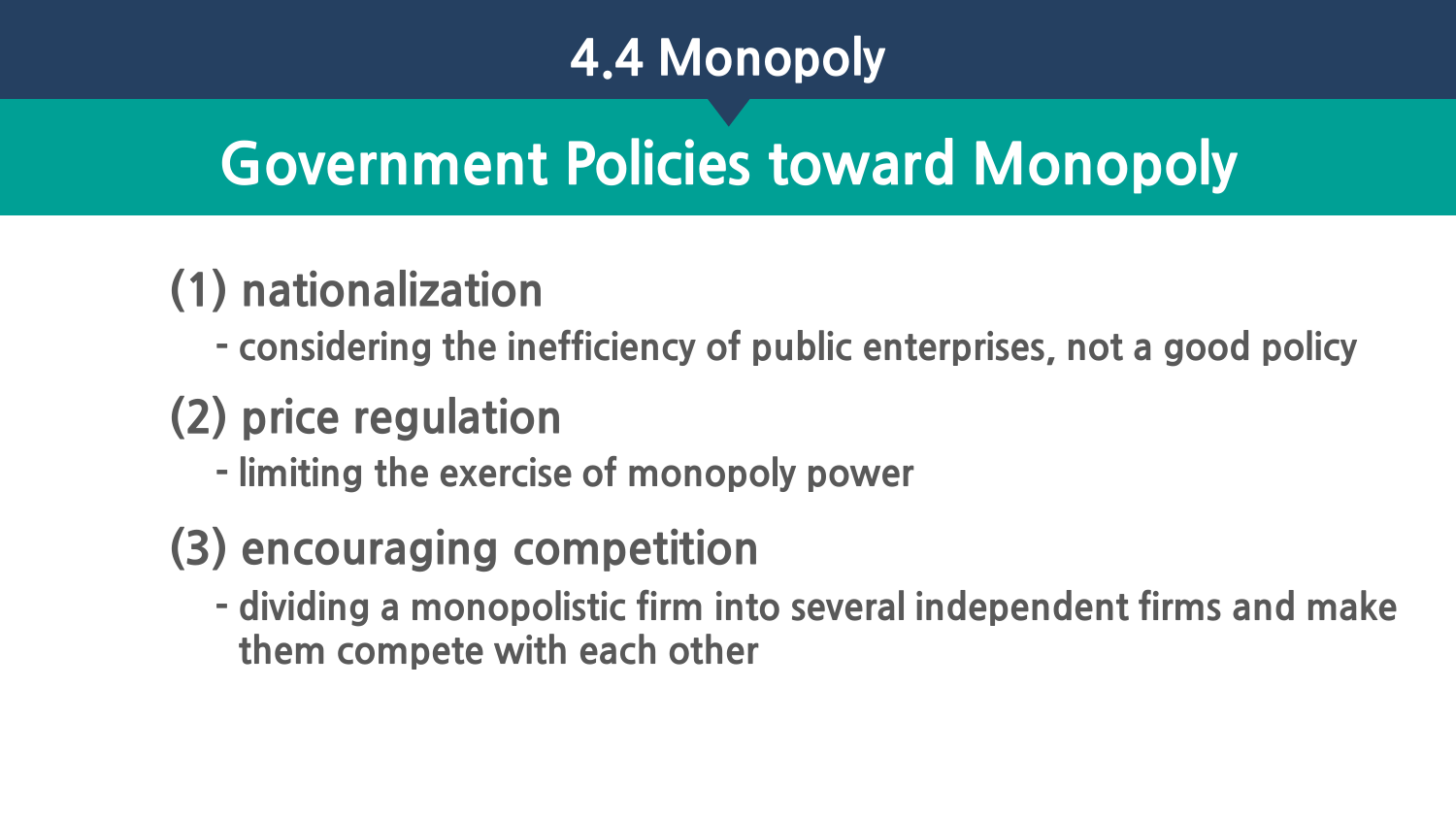# **Government Policies toward Monopoly**

### **(1) nationalization**

**- considering the inefficiency of public enterprises, not a good policy**

### **(2) price regulation**

**- limiting the exercise of monopoly power**

### **(3) encouraging competition**

**- dividing a monopolistic firm into several independent firms and make them compete with each other**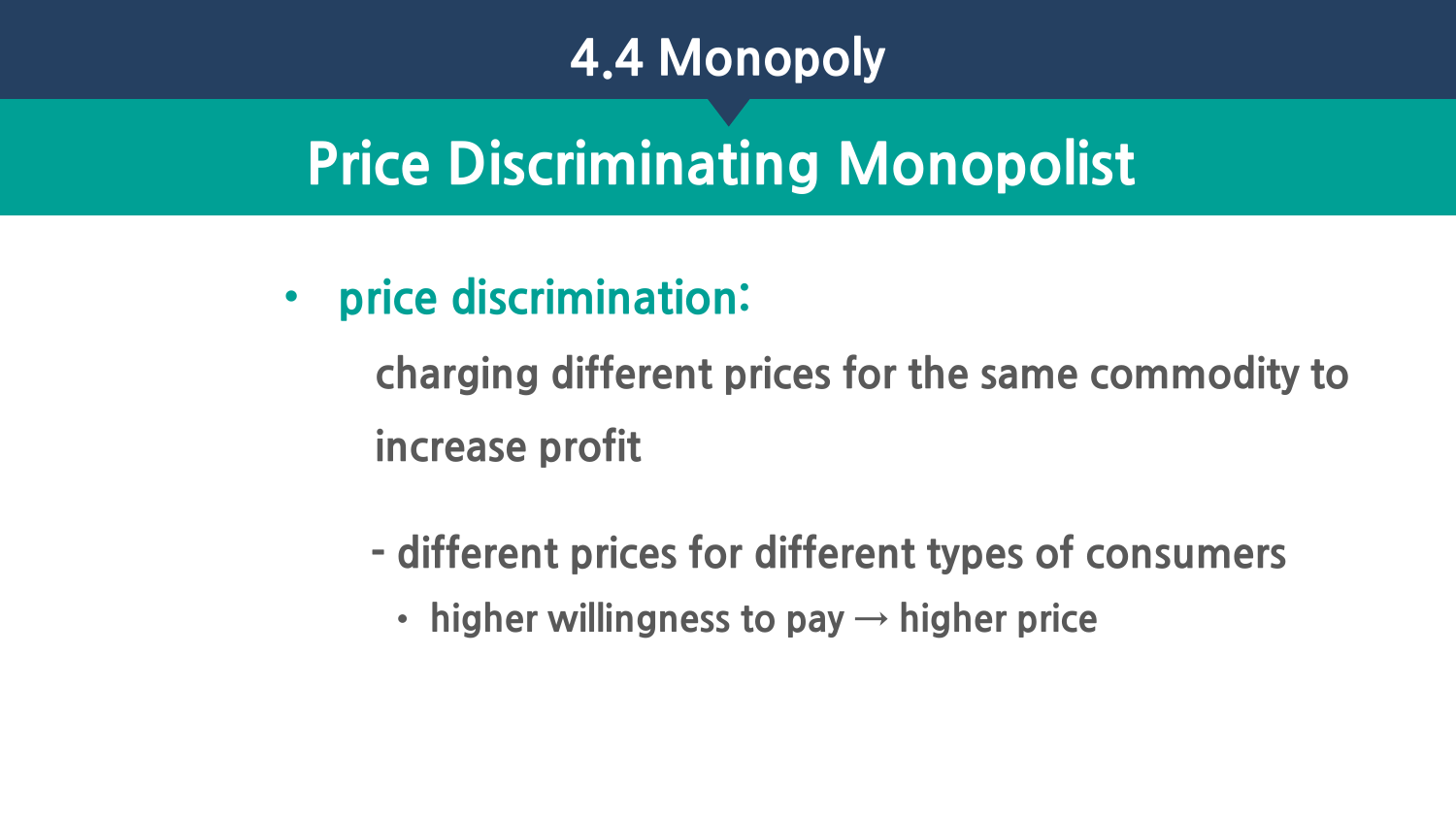# **Price Discriminating Monopolist**

• **price discrimination:** 

**charging different prices for the same commodity to increase profit**

- **- different prices for different types of consumers**
	- **higher willingness to pay → higher price**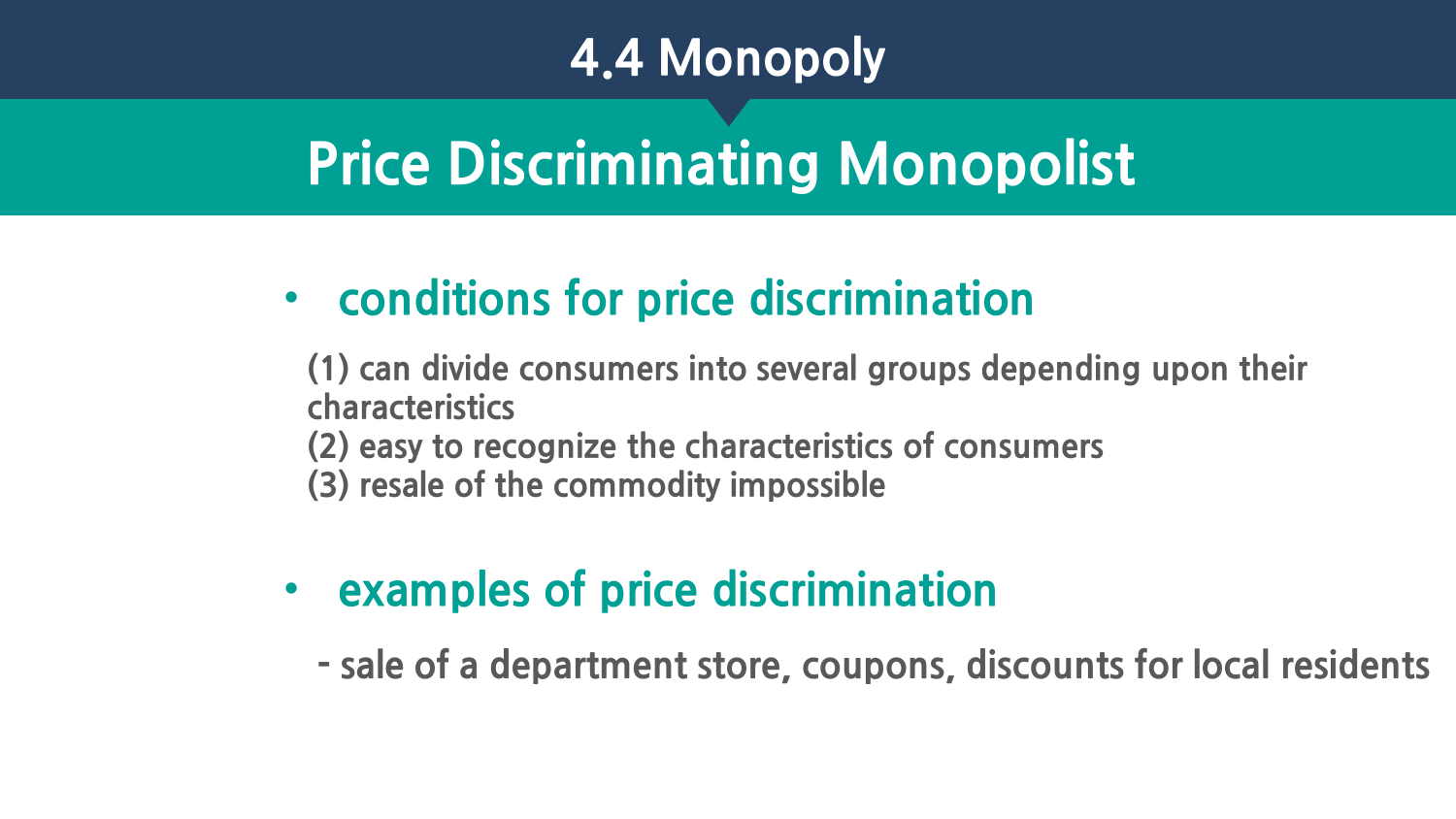# **Price Discriminating Monopolist**

#### • **conditions for price discrimination**

**(1) can divide consumers into several groups depending upon their characteristics (2) easy to recognize the characteristics of consumers** 

- **(3) resale of the commodity impossible**
- **examples of price discrimination**

**- sale of a department store, coupons, discounts for local residents**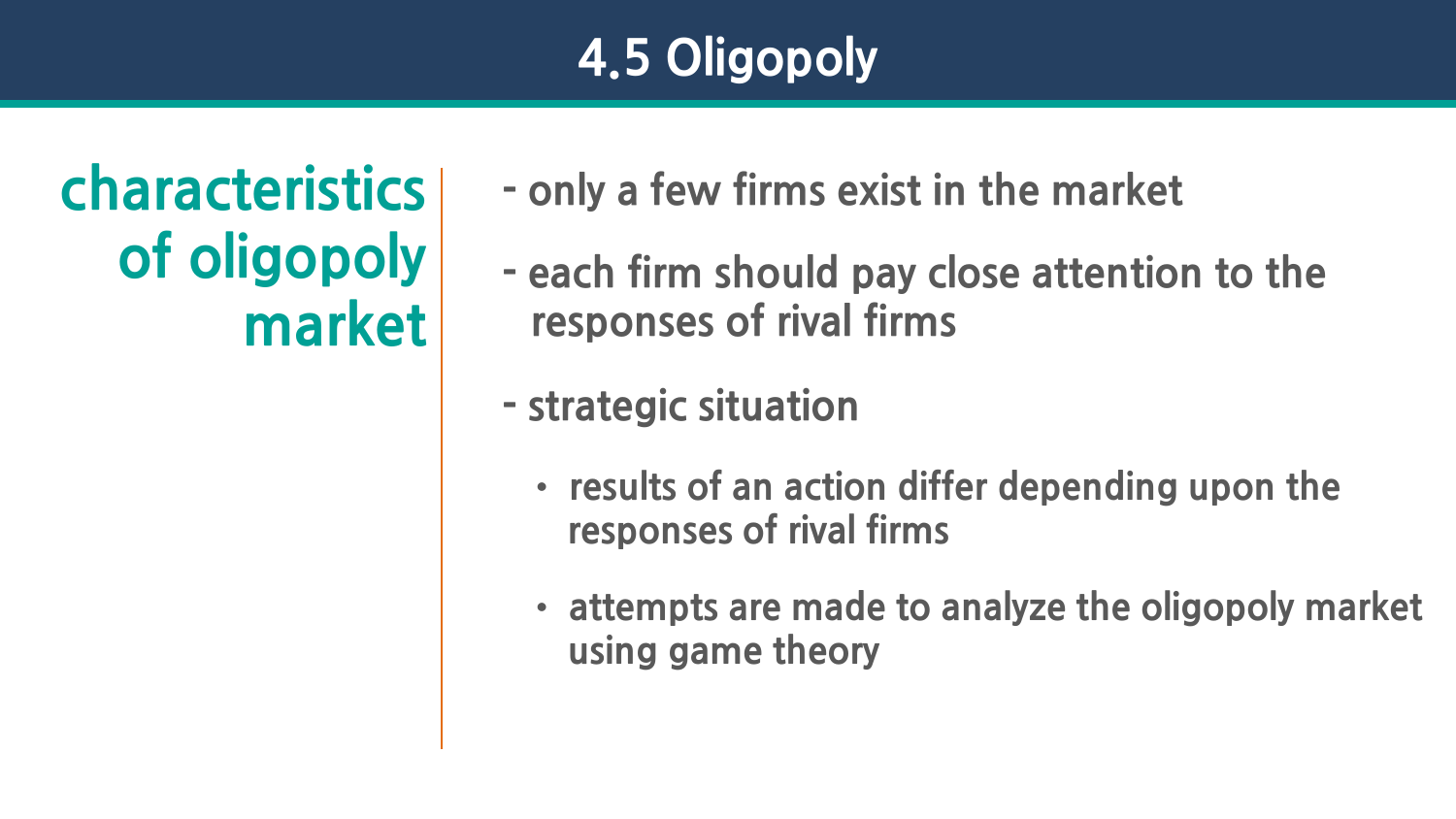### **4.5 Oligopoly**

**of oligopoly market**

**characteristics - only a few firms exist in the market**

**- each firm should pay close attention to the responses of rival firms**

**- strategic situation**

- **results of an action differ depending upon the responses of rival firms**
- **attempts are made to analyze the oligopoly market using game theory**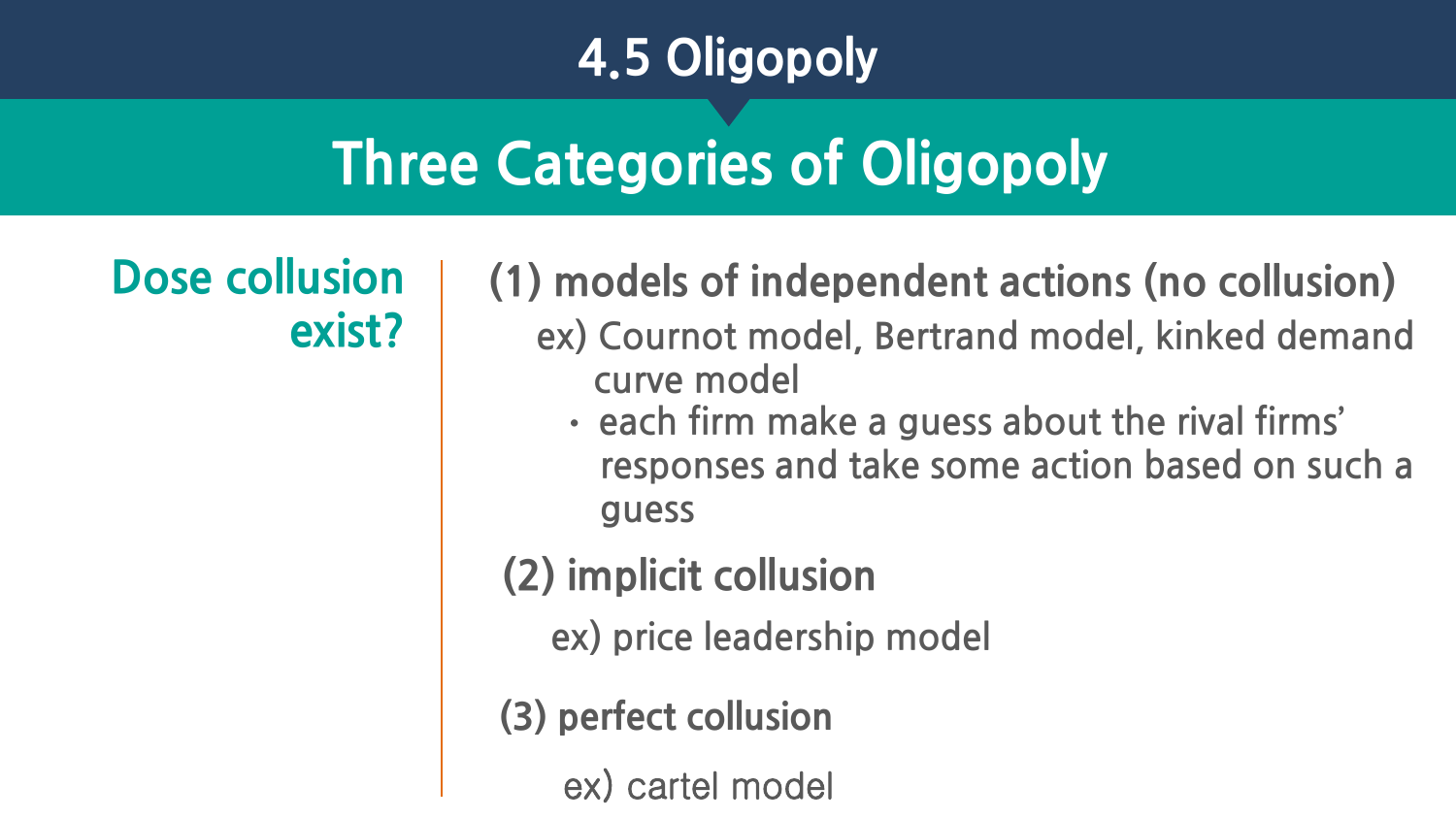### **4.5 Oligopoly**

# **Three Categories of Oligopoly**

**Dose collusion exist?**

**(1) models of independent actions (no collusion) ex) Cournot model, Bertrand model, kinked demand curve model**

• **each firm make a guess about the rival firms' responses and take some action based on such a guess**

**(2) implicit collusion** 

**ex) price leadership model**

**(3) perfect collusion** 

ex) cartel model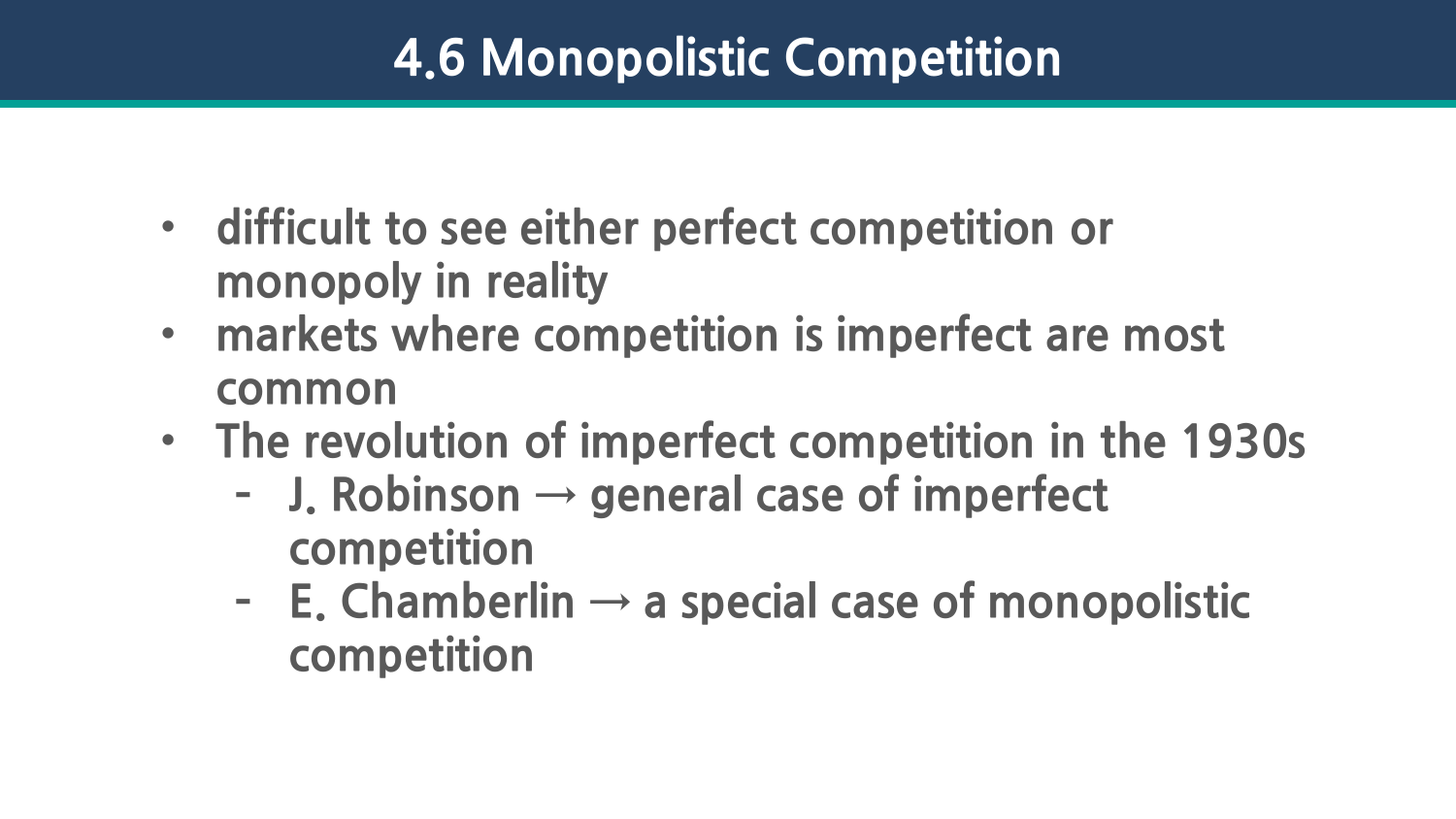- **difficult to see either perfect competition or monopoly in reality**
- **markets where competition is imperfect are most common**
- **The revolution of imperfect competition in the 1930s**
	- **– J. Robinson → general case of imperfect competition**
	- **– E. Chamberlin → a special case of monopolistic competition**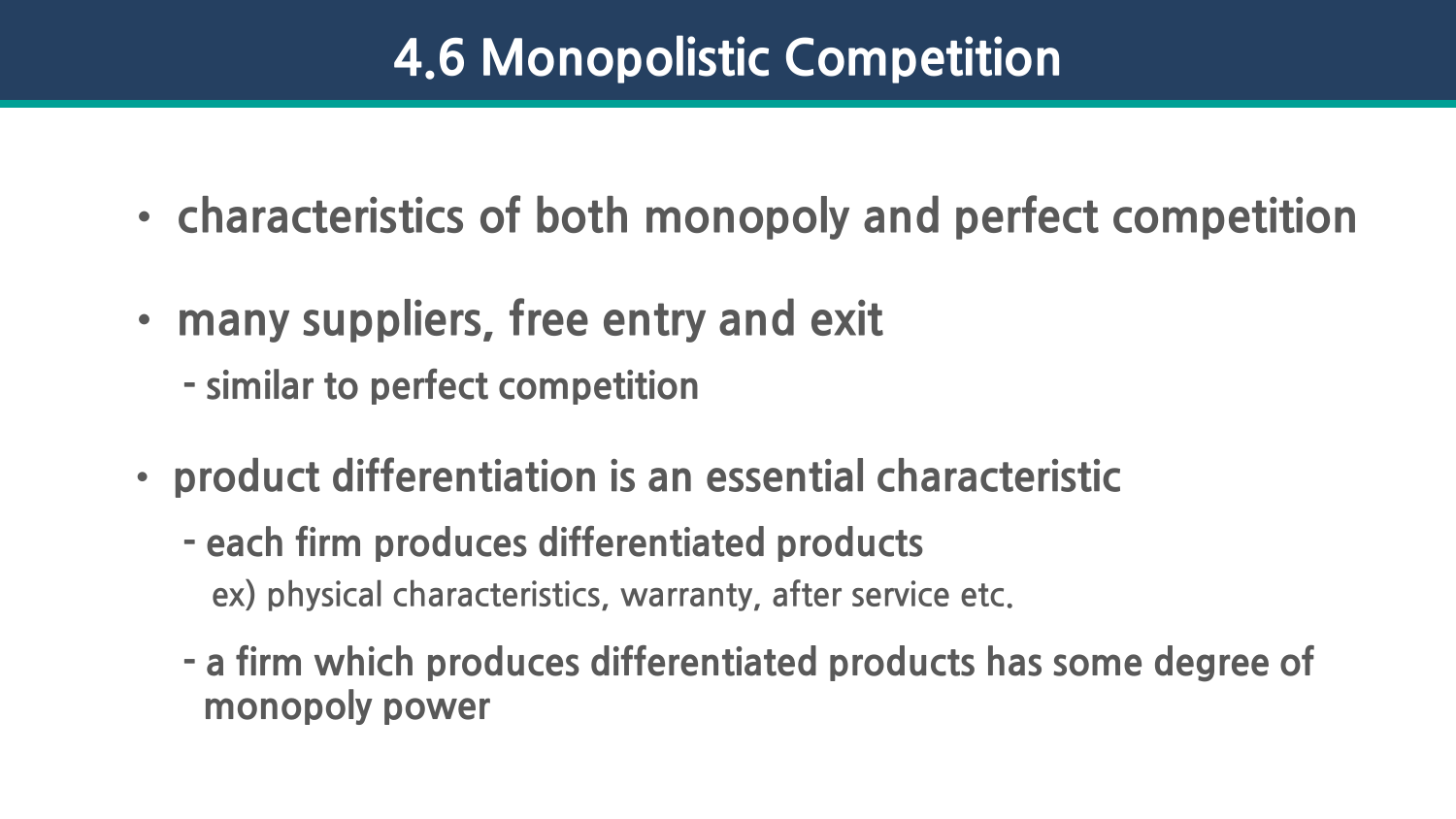- **characteristics of both monopoly and perfect competition**
- **many suppliers, free entry and exit** 
	- **- similar to perfect competition**
- **product differentiation is an essential characteristic**
	- **- each firm produces differentiated products ex) physical characteristics, warranty, after service etc.**
	- **- a firm which produces differentiated products has some degree of monopoly power**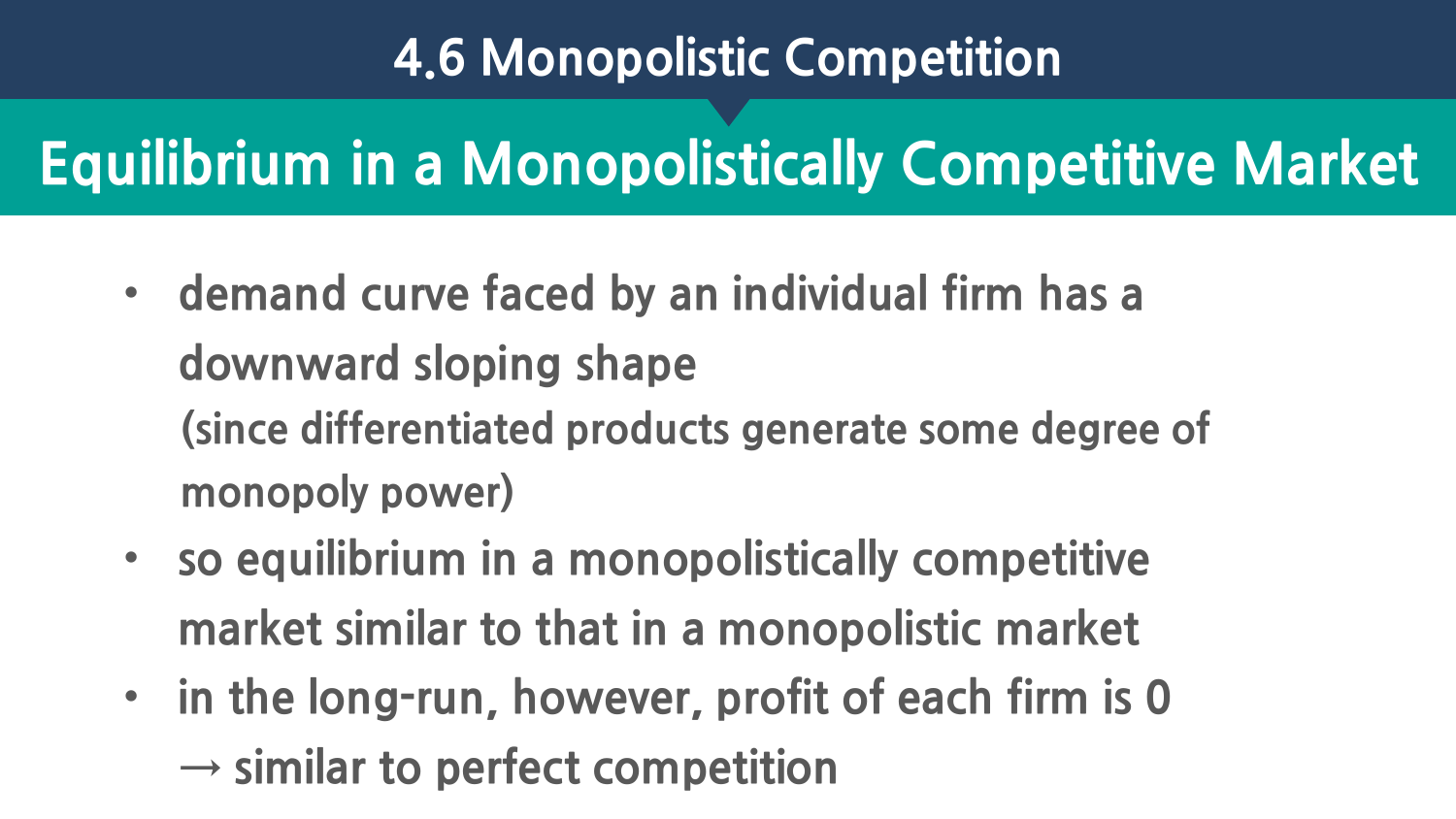# **Equilibrium in a Monopolistically Competitive Market**

- **demand curve faced by an individual firm has a downward sloping shape (since differentiated products generate some degree of monopoly power)**
- **so equilibrium in a monopolistically competitive market similar to that in a monopolistic market**
- **in the long-run, however, profit of each firm is 0 → similar to perfect competition**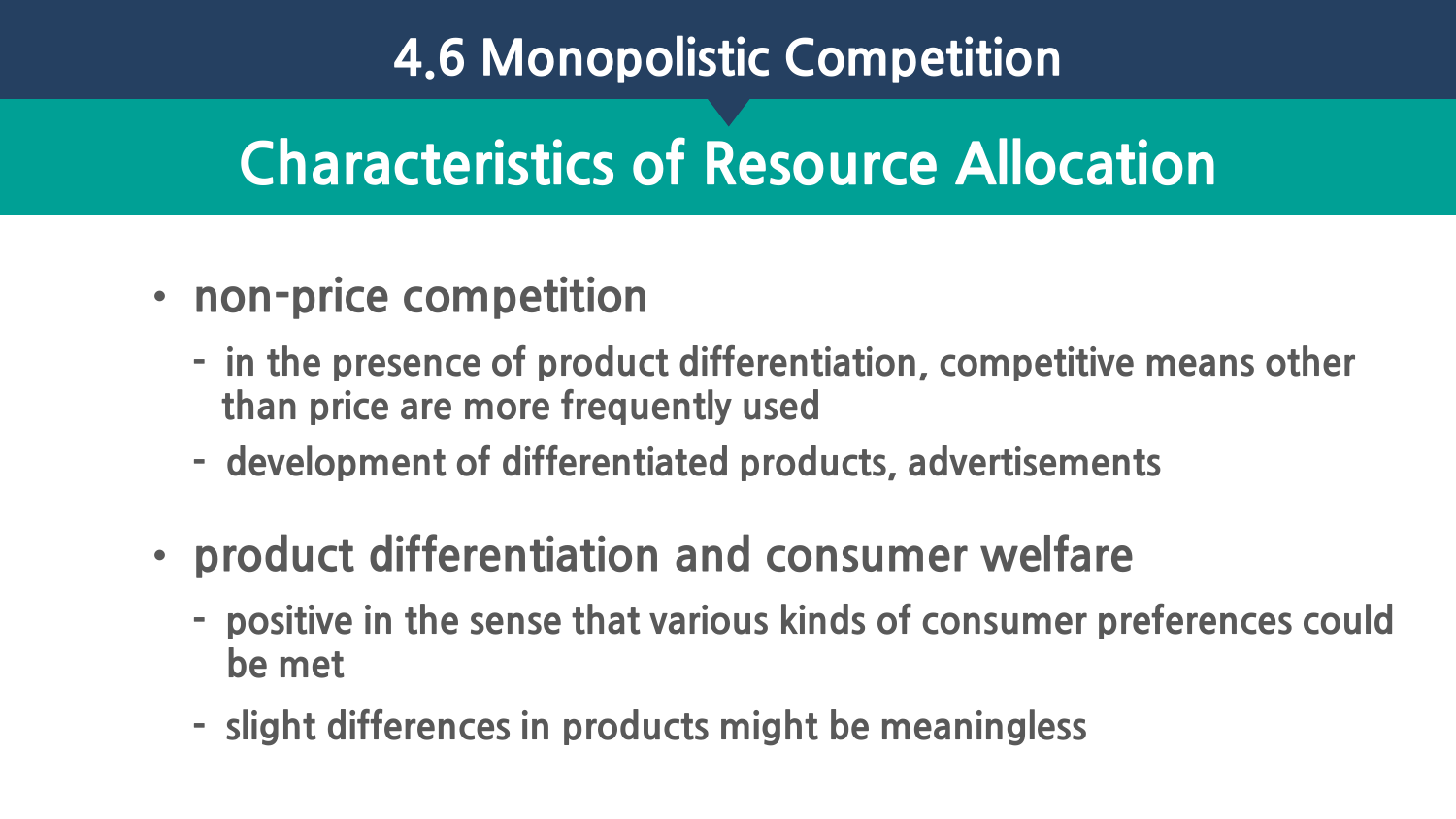### **Characteristics of Resource Allocation**

- **non-price competition**
	- **- in the presence of product differentiation, competitive means other than price are more frequently used**
	- **- development of differentiated products, advertisements**
- **product differentiation and consumer welfare**
	- **- positive in the sense that various kinds of consumer preferences could be met**
	- **- slight differences in products might be meaningless**